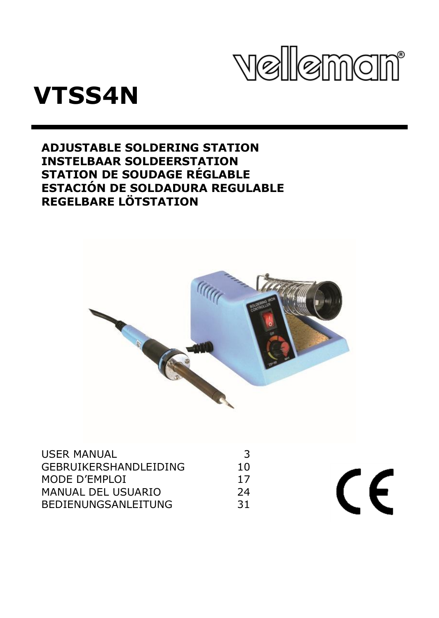

 $\zeta$ 

# **VTSS4N**

### **ADJUSTABLE SOLDERING STATION INSTELBAAR SOLDEERSTATION STATION DE SOUDAGE RÉGLABLE ESTACIÓN DE SOLDADURA REGULABLE REGELBARE LÖTSTATION**



| <b>USER MANUAL</b>    | 3  |
|-----------------------|----|
| GEBRUIKERSHANDLEIDING | 10 |
| MODE D'EMPLOI         | 17 |
| MANUAL DEL USUARIO    | 24 |
| BEDIENUNGSANLEITUNG   | 31 |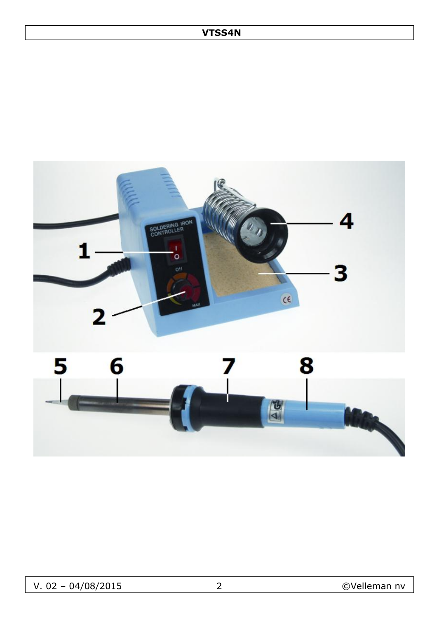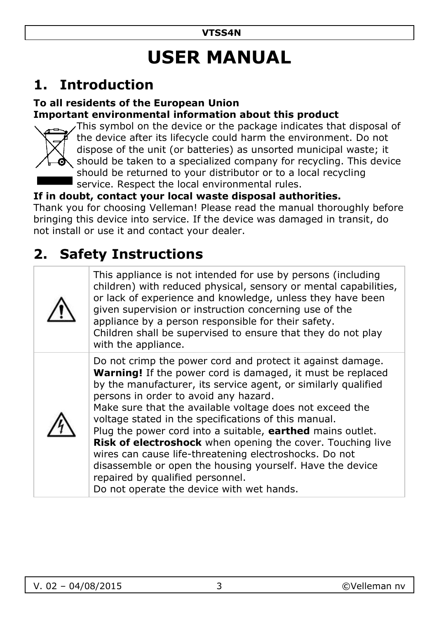# **USER MANUAL**

# <span id="page-2-0"></span>**1. Introduction**

### **To all residents of the European Union Important environmental information about this product**



This symbol on the device or the package indicates that disposal of the device after its lifecycle could harm the environment. Do not dispose of the unit (or batteries) as unsorted municipal waste; it should be taken to a specialized company for recycling. This device should be returned to your distributor or to a local recycling service. Respect the local environmental rules.

### **If in doubt, contact your local waste disposal authorities.**

Thank you for choosing Velleman! Please read the manual thoroughly before bringing this device into service. If the device was damaged in transit, do not install or use it and contact your dealer.

# **2. Safety Instructions**

| This appliance is not intended for use by persons (including<br>children) with reduced physical, sensory or mental capabilities,<br>or lack of experience and knowledge, unless they have been<br>given supervision or instruction concerning use of the<br>appliance by a person responsible for their safety.<br>Children shall be supervised to ensure that they do not play<br>with the appliance.                                                                                                                                                                                                                                                                                             |
|----------------------------------------------------------------------------------------------------------------------------------------------------------------------------------------------------------------------------------------------------------------------------------------------------------------------------------------------------------------------------------------------------------------------------------------------------------------------------------------------------------------------------------------------------------------------------------------------------------------------------------------------------------------------------------------------------|
| Do not crimp the power cord and protect it against damage.<br><b>Warning!</b> If the power cord is damaged, it must be replaced<br>by the manufacturer, its service agent, or similarly qualified<br>persons in order to avoid any hazard.<br>Make sure that the available voltage does not exceed the<br>voltage stated in the specifications of this manual.<br>Plug the power cord into a suitable, earthed mains outlet.<br>Risk of electroshock when opening the cover. Touching live<br>wires can cause life-threatening electroshocks. Do not<br>disassemble or open the housing yourself. Have the device<br>repaired by qualified personnel.<br>Do not operate the device with wet hands. |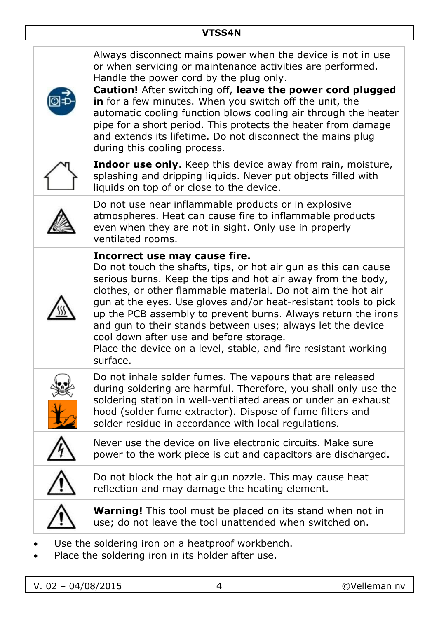| Always disconnect mains power when the device is not in use<br>or when servicing or maintenance activities are performed.<br>Handle the power cord by the plug only.<br>Caution! After switching off, leave the power cord plugged<br>in for a few minutes. When you switch off the unit, the<br>automatic cooling function blows cooling air through the heater<br>pipe for a short period. This protects the heater from damage<br>and extends its lifetime. Do not disconnect the mains plug<br>during this cooling process.                               |
|---------------------------------------------------------------------------------------------------------------------------------------------------------------------------------------------------------------------------------------------------------------------------------------------------------------------------------------------------------------------------------------------------------------------------------------------------------------------------------------------------------------------------------------------------------------|
| Indoor use only. Keep this device away from rain, moisture,<br>splashing and dripping liquids. Never put objects filled with<br>liquids on top of or close to the device.                                                                                                                                                                                                                                                                                                                                                                                     |
| Do not use near inflammable products or in explosive<br>atmospheres. Heat can cause fire to inflammable products<br>even when they are not in sight. Only use in properly<br>ventilated rooms.                                                                                                                                                                                                                                                                                                                                                                |
| Incorrect use may cause fire.<br>Do not touch the shafts, tips, or hot air gun as this can cause<br>serious burns. Keep the tips and hot air away from the body,<br>clothes, or other flammable material. Do not aim the hot air<br>gun at the eyes. Use gloves and/or heat-resistant tools to pick<br>up the PCB assembly to prevent burns. Always return the irons<br>and gun to their stands between uses; always let the device<br>cool down after use and before storage.<br>Place the device on a level, stable, and fire resistant working<br>surface. |
| Do not inhale solder fumes. The vapours that are released<br>during soldering are harmful. Therefore, you shall only use the<br>soldering station in well-ventilated areas or under an exhaust<br>hood (solder fume extractor). Dispose of fume filters and<br>solder residue in accordance with local regulations.                                                                                                                                                                                                                                           |
| Never use the device on live electronic circuits. Make sure<br>power to the work piece is cut and capacitors are discharged.                                                                                                                                                                                                                                                                                                                                                                                                                                  |
| Do not block the hot air gun nozzle. This may cause heat<br>reflection and may damage the heating element.                                                                                                                                                                                                                                                                                                                                                                                                                                                    |
| <b>Warning!</b> This tool must be placed on its stand when not in<br>use; do not leave the tool unattended when switched on.                                                                                                                                                                                                                                                                                                                                                                                                                                  |

- Use the soldering iron on a heatproof workbench. Place the soldering iron in its holder after use.
-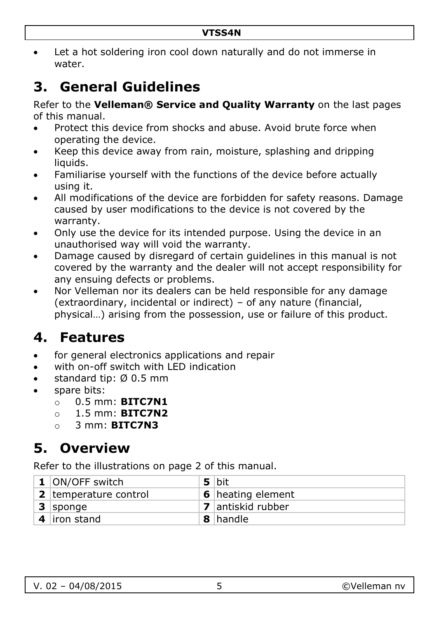Let a hot soldering iron cool down naturally and do not immerse in water.

# **3. General Guidelines**

Refer to the **Velleman® Service and Quality Warranty** on the last pages of this manual.

- Protect this device from shocks and abuse. Avoid brute force when operating the device.
- Keep this device away from rain, moisture, splashing and dripping liquids.
- Familiarise yourself with the functions of the device before actually using it.
- All modifications of the device are forbidden for safety reasons. Damage caused by user modifications to the device is not covered by the warranty.
- Only use the device for its intended purpose. Using the device in an unauthorised way will void the warranty.
- Damage caused by disregard of certain guidelines in this manual is not covered by the warranty and the dealer will not accept responsibility for any ensuing defects or problems.
- Nor Velleman nor its dealers can be held responsible for any damage (extraordinary, incidental or indirect) – of any nature (financial, physical…) arising from the possession, use or failure of this product.

# **4. Features**

- for general electronics applications and repair
- with on-off switch with LED indication
- $\bullet$  standard tip:  $\varnothing$  0.5 mm
- spare bits:
	- o 0.5 mm: **BITC7N1**
	- o 1.5 mm: **BITC7N2**
	- o 3 mm: **BITC7N3**

# **5. Overview**

Refer to the illustrations on page 2 of this manual.

| $1$ ON/OFF switch     | $5$ bit           |
|-----------------------|-------------------|
| 2 temperature control | 6 heating element |
| 3 sponge              | 7 antiskid rubber |
| 4 liron stand         | 8 handle          |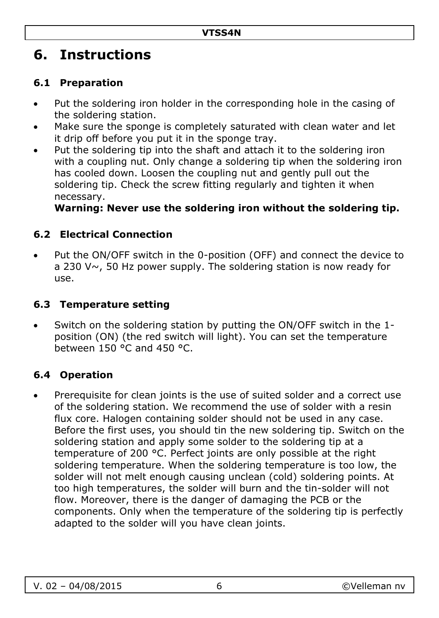# **6. Instructions**

### **6.1 Preparation**

- Put the soldering iron holder in the corresponding hole in the casing of the soldering station.
- Make sure the sponge is completely saturated with clean water and let it drip off before you put it in the sponge tray.
- Put the soldering tip into the shaft and attach it to the soldering iron with a coupling nut. Only change a soldering tip when the soldering iron has cooled down. Loosen the coupling nut and gently pull out the soldering tip. Check the screw fitting regularly and tighten it when necessary.

**Warning: Never use the soldering iron without the soldering tip.** 

### **6.2 Electrical Connection**

 Put the ON/OFF switch in the 0-position (OFF) and connect the device to a 230 V~, 50 Hz power supply. The soldering station is now ready for use.

### **6.3 Temperature setting**

 Switch on the soldering station by putting the ON/OFF switch in the 1 position (ON) (the red switch will light). You can set the temperature between 150 °C and 450 °C.

### **6.4 Operation**

 Prerequisite for clean joints is the use of suited solder and a correct use of the soldering station. We recommend the use of solder with a resin flux core. Halogen containing solder should not be used in any case. Before the first uses, you should tin the new soldering tip. Switch on the soldering station and apply some solder to the soldering tip at a temperature of 200 °C. Perfect joints are only possible at the right soldering temperature. When the soldering temperature is too low, the solder will not melt enough causing unclean (cold) soldering points. At too high temperatures, the solder will burn and the tin-solder will not flow. Moreover, there is the danger of damaging the PCB or the components. Only when the temperature of the soldering tip is perfectly adapted to the solder will you have clean joints.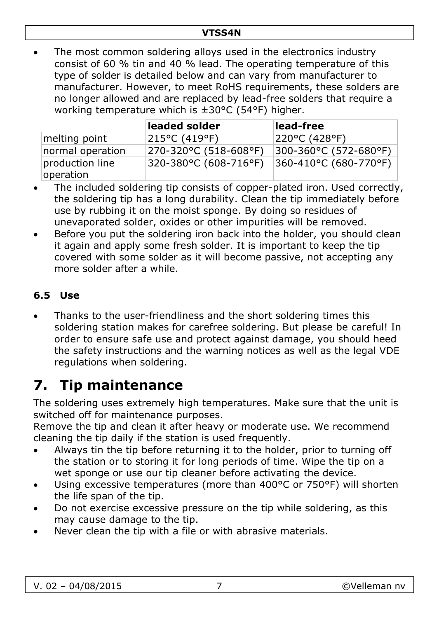The most common soldering alloys used in the electronics industry consist of 60 % tin and 40 % lead. The operating temperature of this type of solder is detailed below and can vary from manufacturer to manufacturer. However, to meet RoHS requirements, these solders are no longer allowed and are replaced by lead-free solders that require a working temperature which is ±30°C (54°F) higher.

|                              | leaded solder         | lead-free             |
|------------------------------|-----------------------|-----------------------|
| melting point                | 215°C (419°F)         | 220°C (428°F)         |
| normal operation             | 270-320°C (518-608°F) | 300-360°C (572-680°F) |
| production line<br>operation | 320-380°C (608-716°F) | 360-410°C (680-770°F) |

- The included soldering tip consists of copper-plated iron. Used correctly, the soldering tip has a long durability. Clean the tip immediately before use by rubbing it on the moist sponge. By doing so residues of unevaporated solder, oxides or other impurities will be removed.
- Before you put the soldering iron back into the holder, you should clean it again and apply some fresh solder. It is important to keep the tip covered with some solder as it will become passive, not accepting any more solder after a while.

### **6.5 Use**

 Thanks to the user-friendliness and the short soldering times this soldering station makes for carefree soldering. But please be careful! In order to ensure safe use and protect against damage, you should heed the safety instructions and the warning notices as well as the legal VDE regulations when soldering.

# **7. Tip maintenance**

The soldering uses extremely high temperatures. Make sure that the unit is switched off for maintenance purposes.

Remove the tip and clean it after heavy or moderate use. We recommend cleaning the tip daily if the station is used frequently.

- Always tin the tip before returning it to the holder, prior to turning off the station or to storing it for long periods of time. Wipe the tip on a wet sponge or use our tip cleaner before activating the device.
- Using excessive temperatures (more than 400°C or 750°F) will shorten the life span of the tip.
- Do not exercise excessive pressure on the tip while soldering, as this may cause damage to the tip.
- Never clean the tip with a file or with abrasive materials.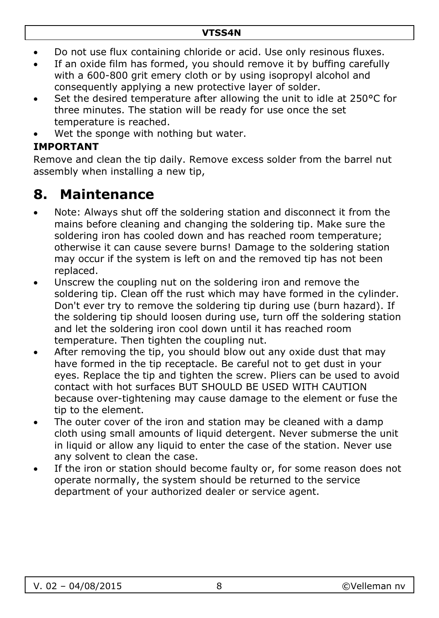- Do not use flux containing chloride or acid. Use only resinous fluxes.
- If an oxide film has formed, you should remove it by buffing carefully with a 600-800 grit emery cloth or by using isopropyl alcohol and consequently applying a new protective layer of solder.
- Set the desired temperature after allowing the unit to idle at 250°C for three minutes. The station will be ready for use once the set temperature is reached.
- Wet the sponge with nothing but water.

### **IMPORTANT**

Remove and clean the tip daily. Remove excess solder from the barrel nut assembly when installing a new tip,

# **8. Maintenance**

- Note: Always shut off the soldering station and disconnect it from the mains before cleaning and changing the soldering tip. Make sure the soldering iron has cooled down and has reached room temperature; otherwise it can cause severe burns! Damage to the soldering station may occur if the system is left on and the removed tip has not been replaced.
- Unscrew the coupling nut on the soldering iron and remove the soldering tip. Clean off the rust which may have formed in the cylinder. Don't ever try to remove the soldering tip during use (burn hazard). If the soldering tip should loosen during use, turn off the soldering station and let the soldering iron cool down until it has reached room temperature. Then tighten the coupling nut.
- After removing the tip, you should blow out any oxide dust that may have formed in the tip receptacle. Be careful not to get dust in your eyes. Replace the tip and tighten the screw. Pliers can be used to avoid contact with hot surfaces BUT SHOULD BE USED WITH CAUTION because over-tightening may cause damage to the element or fuse the tip to the element.
- The outer cover of the iron and station may be cleaned with a damp cloth using small amounts of liquid detergent. Never submerse the unit in liquid or allow any liquid to enter the case of the station. Never use any solvent to clean the case.
- If the iron or station should become faulty or, for some reason does not operate normally, the system should be returned to the service department of your authorized dealer or service agent.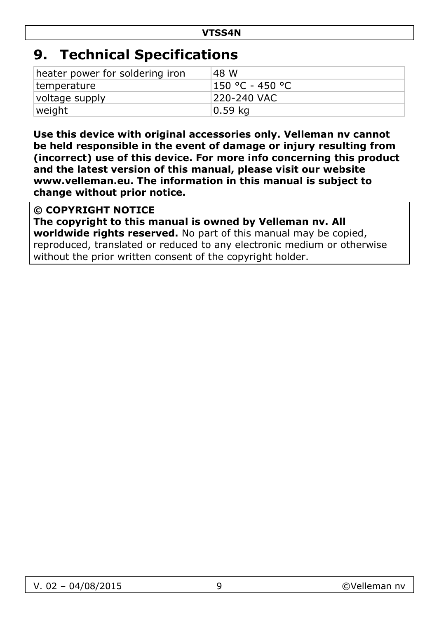# **9. Technical Specifications**

| heater power for soldering iron | 48 W            |
|---------------------------------|-----------------|
| temperature                     | 150 °C - 450 °C |
| voltage supply                  | 220-240 VAC     |
| weight                          | 0.59 kg         |

**Use this device with original accessories only. Velleman nv cannot be held responsible in the event of damage or injury resulting from (incorrect) use of this device. For more info concerning this product and the latest version of this manual, please visit our website www.velleman.eu. The information in this manual is subject to change without prior notice.**

### **© COPYRIGHT NOTICE**

**The copyright to this manual is owned by Velleman nv. All worldwide rights reserved.** No part of this manual may be copied, reproduced, translated or reduced to any electronic medium or otherwise without the prior written consent of the copyright holder.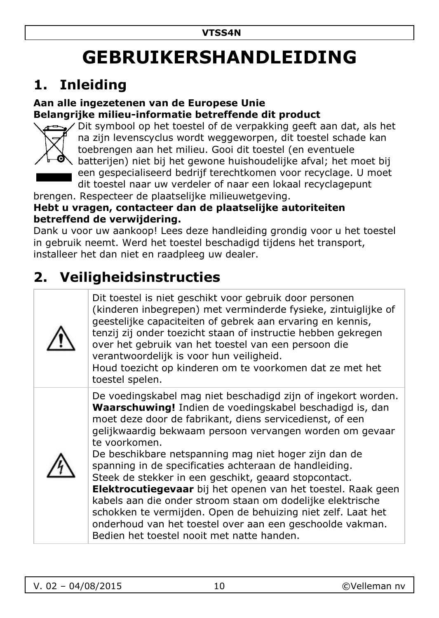# **GEBRUIKERSHANDLEIDING**

# <span id="page-9-0"></span>**1. Inleiding**

### **Aan alle ingezetenen van de Europese Unie Belangrijke milieu-informatie betreffende dit product**



Dit symbool op het toestel of de verpakking geeft aan dat, als het na zijn levenscyclus wordt weggeworpen, dit toestel schade kan toebrengen aan het milieu. Gooi dit toestel (en eventuele batterijen) niet bij het gewone huishoudelijke afval; het moet bij een gespecialiseerd bedrijf terechtkomen voor recyclage. U moet dit toestel naar uw verdeler of naar een lokaal recyclagepunt

brengen. Respecteer de plaatselijke milieuwetgeving.

### **Hebt u vragen, contacteer dan de plaatselijke autoriteiten betreffend de verwijdering.**

Dank u voor uw aankoop! Lees deze handleiding grondig voor u het toestel in gebruik neemt. Werd het toestel beschadigd tijdens het transport, installeer het dan niet en raadpleeg uw dealer.

# **2. Veiligheidsinstructies**

| Dit toestel is niet geschikt voor gebruik door personen<br>(kinderen inbegrepen) met verminderde fysieke, zintuiglijke of<br>geestelijke capaciteiten of gebrek aan ervaring en kennis,<br>tenzij zij onder toezicht staan of instructie hebben gekregen<br>over het gebruik van het toestel van een persoon die<br>verantwoordelijk is voor hun veiligheid.<br>Houd toezicht op kinderen om te voorkomen dat ze met het<br>toestel spelen.                                                                                                                                                                                                                                                                                                             |
|---------------------------------------------------------------------------------------------------------------------------------------------------------------------------------------------------------------------------------------------------------------------------------------------------------------------------------------------------------------------------------------------------------------------------------------------------------------------------------------------------------------------------------------------------------------------------------------------------------------------------------------------------------------------------------------------------------------------------------------------------------|
| De voedingskabel mag niet beschadigd zijn of ingekort worden.<br>Waarschuwing! Indien de voedingskabel beschadigd is, dan<br>moet deze door de fabrikant, diens servicedienst, of een<br>gelijkwaardig bekwaam persoon vervangen worden om gevaar<br>te voorkomen.<br>De beschikbare netspanning mag niet hoger zijn dan de<br>spanning in de specificaties achteraan de handleiding.<br>Steek de stekker in een geschikt, geaard stopcontact.<br>Elektrocutiegevaar bij het openen van het toestel. Raak geen<br>kabels aan die onder stroom staan om dodelijke elektrische<br>schokken te vermijden. Open de behuizing niet zelf. Laat het<br>onderhoud van het toestel over aan een geschoolde vakman.<br>Bedien het toestel nooit met natte handen. |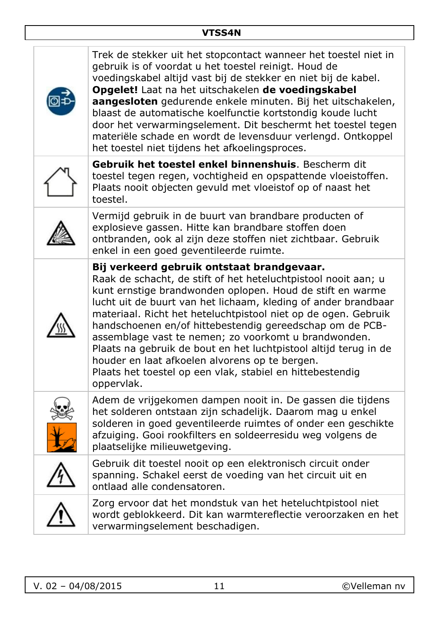| Trek de stekker uit het stopcontact wanneer het toestel niet in<br>gebruik is of voordat u het toestel reinigt. Houd de<br>voedingskabel altijd vast bij de stekker en niet bij de kabel.<br>Opgelet! Laat na het uitschakelen de voedingskabel<br>aangesloten gedurende enkele minuten. Bij het uitschakelen,<br>blaast de automatische koelfunctie kortstondig koude lucht<br>door het verwarmingselement. Dit beschermt het toestel tegen<br>materiële schade en wordt de levensduur verlengd. Ontkoppel<br>het toestel niet tijdens het afkoelingsproces.                                                                      |
|------------------------------------------------------------------------------------------------------------------------------------------------------------------------------------------------------------------------------------------------------------------------------------------------------------------------------------------------------------------------------------------------------------------------------------------------------------------------------------------------------------------------------------------------------------------------------------------------------------------------------------|
| Gebruik het toestel enkel binnenshuis. Bescherm dit<br>toestel tegen regen, vochtigheid en opspattende vloeistoffen.<br>Plaats nooit objecten gevuld met vloeistof op of naast het<br>toestel.                                                                                                                                                                                                                                                                                                                                                                                                                                     |
| Vermijd gebruik in de buurt van brandbare producten of<br>explosieve gassen. Hitte kan brandbare stoffen doen<br>ontbranden, ook al zijn deze stoffen niet zichtbaar. Gebruik<br>enkel in een goed geventileerde ruimte.                                                                                                                                                                                                                                                                                                                                                                                                           |
| Bij verkeerd gebruik ontstaat brandgevaar.<br>Raak de schacht, de stift of het heteluchtpistool nooit aan; u<br>kunt ernstige brandwonden oplopen. Houd de stift en warme<br>lucht uit de buurt van het lichaam, kleding of ander brandbaar<br>materiaal. Richt het heteluchtpistool niet op de ogen. Gebruik<br>handschoenen en/of hittebestendig gereedschap om de PCB-<br>assemblage vast te nemen; zo voorkomt u brandwonden.<br>Plaats na gebruik de bout en het luchtpistool altijd terug in de<br>houder en laat afkoelen alvorens op te bergen.<br>Plaats het toestel op een vlak, stabiel en hittebestendig<br>oppervlak. |
| Adem de vrijgekomen dampen nooit in. De gassen die tijdens<br>het solderen ontstaan zijn schadelijk. Daarom mag u enkel<br>solderen in goed geventileerde ruimtes of onder een geschikte<br>afzuiging. Gooi rookfilters en soldeerresidu weg volgens de<br>plaatselijke milieuwetgeving.                                                                                                                                                                                                                                                                                                                                           |
| Gebruik dit toestel nooit op een elektronisch circuit onder<br>spanning. Schakel eerst de voeding van het circuit uit en<br>ontlaad alle condensatoren.                                                                                                                                                                                                                                                                                                                                                                                                                                                                            |
| Zorg ervoor dat het mondstuk van het heteluchtpistool niet<br>wordt geblokkeerd. Dit kan warmtereflectie veroorzaken en het<br>verwarmingselement beschadigen.                                                                                                                                                                                                                                                                                                                                                                                                                                                                     |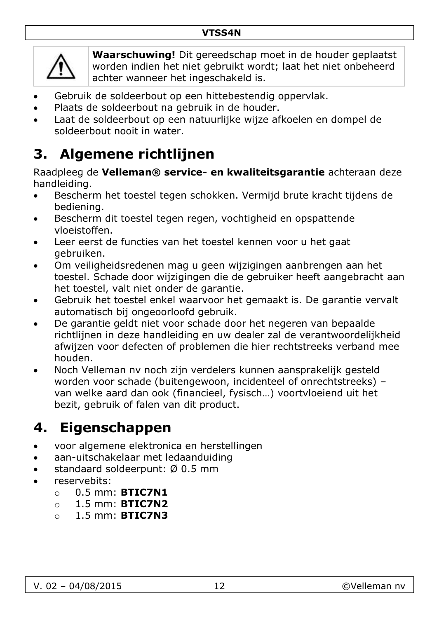

**Waarschuwing!** Dit gereedschap moet in de houder geplaatst worden indien het niet gebruikt wordt; laat het niet onbeheerd achter wanneer het ingeschakeld is.

- Gebruik de soldeerbout op een hittebestendig oppervlak.
- Plaats de soldeerbout na gebruik in de houder.
- Laat de soldeerbout op een natuurlijke wijze afkoelen en dompel de soldeerbout nooit in water.

# **3. Algemene richtlijnen**

Raadpleeg de **Velleman® service- en kwaliteitsgarantie** achteraan deze handleiding.

- Bescherm het toestel tegen schokken. Vermijd brute kracht tijdens de bediening.
- Bescherm dit toestel tegen regen, vochtigheid en opspattende vloeistoffen.
- Leer eerst de functies van het toestel kennen voor u het gaat gebruiken.
- Om veiligheidsredenen mag u geen wijzigingen aanbrengen aan het toestel. Schade door wijzigingen die de gebruiker heeft aangebracht aan het toestel, valt niet onder de garantie.
- Gebruik het toestel enkel waarvoor het gemaakt is. De garantie vervalt automatisch bij ongeoorloofd gebruik.
- De garantie geldt niet voor schade door het negeren van bepaalde richtlijnen in deze handleiding en uw dealer zal de verantwoordelijkheid afwijzen voor defecten of problemen die hier rechtstreeks verband mee houden.
- Noch Velleman nv noch zijn verdelers kunnen aansprakelijk gesteld worden voor schade (buitengewoon, incidenteel of onrechtstreeks) – van welke aard dan ook (financieel, fysisch…) voortvloeiend uit het bezit, gebruik of falen van dit product.

# **4. Eigenschappen**

- voor algemene elektronica en herstellingen
- aan-uitschakelaar met ledaanduiding
- standaard soldeerpunt: Ø 0.5 mm
- reservebits:
	- o 0.5 mm: **BTIC7N1**
	- o 1.5 mm: **BTIC7N2**
	- o 1.5 mm: **BTIC7N3**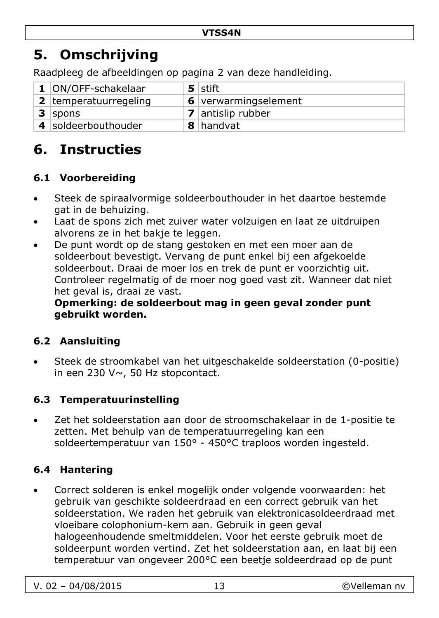# **5. Omschrijving**

Raadpleeg de afbeeldingen op pagina 2 van deze handleiding.

| 1   ON/OFF-schakelaar | $5$ stift            |
|-----------------------|----------------------|
| 2 temperatuurregeling | 6 verwarmingselement |
| $3$ spons             | 7 antislip rubber    |
| 4 soldeerbouthouder   | 8 handvat            |

# **6. Instructies**

### **6.1 Voorbereiding**

- Steek de spiraalvormige soldeerbouthouder in het daartoe bestemde gat in de behuizing.
- Laat de spons zich met zuiver water volzuigen en laat ze uitdruipen alvorens ze in het bakje te leggen.
- De punt wordt op de stang gestoken en met een moer aan de soldeerbout bevestigt. Vervang de punt enkel bij een afgekoelde soldeerbout. Draai de moer los en trek de punt er voorzichtig uit. Controleer regelmatig of de moer nog goed vast zit. Wanneer dat niet het geval is, draai ze vast.

**Opmerking: de soldeerbout mag in geen geval zonder punt gebruikt worden.** 

### **6.2 Aansluiting**

 Steek de stroomkabel van het uitgeschakelde soldeerstation (0-positie) in een 230 V~, 50 Hz stopcontact.

### **6.3 Temperatuurinstelling**

 Zet het soldeerstation aan door de stroomschakelaar in de 1-positie te zetten. Met behulp van de temperatuurregeling kan een soldeertemperatuur van 150° - 450°C traploos worden ingesteld.

### **6.4 Hantering**

 Correct solderen is enkel mogelijk onder volgende voorwaarden: het gebruik van geschikte soldeerdraad en een correct gebruik van het soldeerstation. We raden het gebruik van elektronicasoldeerdraad met vloeibare colophonium-kern aan. Gebruik in geen geval halogeenhoudende smeltmiddelen. Voor het eerste gebruik moet de soldeerpunt worden vertind. Zet het soldeerstation aan, en laat bij een temperatuur van ongeveer 200°C een beetje soldeerdraad op de punt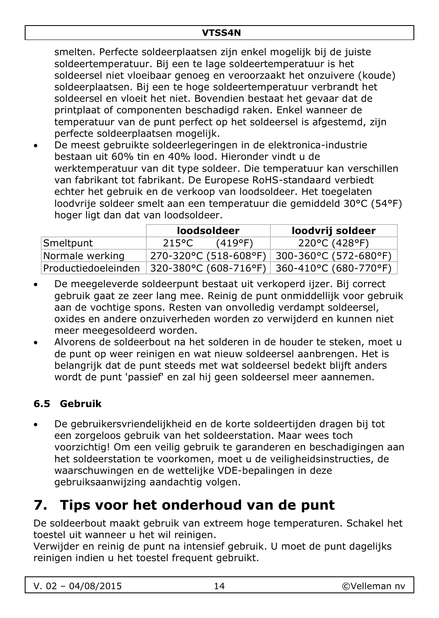smelten. Perfecte soldeerplaatsen zijn enkel mogelijk bij de juiste soldeertemperatuur. Bij een te lage soldeertemperatuur is het soldeersel niet vloeibaar genoeg en veroorzaakt het onzuivere (koude) soldeerplaatsen. Bij een te hoge soldeertemperatuur verbrandt het soldeersel en vloeit het niet. Bovendien bestaat het gevaar dat de printplaat of componenten beschadigd raken. Enkel wanneer de temperatuur van de punt perfect op het soldeersel is afgestemd, zijn perfecte soldeerplaatsen mogelijk.

 De meest gebruikte soldeerlegeringen in de elektronica-industrie bestaan uit 60% tin en 40% lood. Hieronder vindt u de werktemperatuur van dit type soldeer. Die temperatuur kan verschillen van fabrikant tot fabrikant. De Europese RoHS-standaard verbiedt echter het gebruik en de verkoop van loodsoldeer. Het toegelaten loodvrije soldeer smelt aan een temperatuur die gemiddeld 30°C (54°F) hoger ligt dan dat van loodsoldeer.

|                     | loodsoldeer |                  | loodvrij soldeer                            |
|---------------------|-------------|------------------|---------------------------------------------|
| Smeltpunt           | 215°C       | $(419^{\circ}F)$ | 220°C (428°F)                               |
| Normale werking     |             |                  | 270-320°C (518-608°F) 300-360°C (572-680°F) |
| Productiedoeleinden |             |                  | 320-380°C (608-716°F) 360-410°C (680-770°F) |

- De meegeleverde soldeerpunt bestaat uit verkoperd ijzer. Bij correct gebruik gaat ze zeer lang mee. Reinig de punt onmiddellijk voor gebruik aan de vochtige spons. Resten van onvolledig verdampt soldeersel, oxides en andere onzuiverheden worden zo verwijderd en kunnen niet meer meegesoldeerd worden.
- Alvorens de soldeerbout na het solderen in de houder te steken, moet u de punt op weer reinigen en wat nieuw soldeersel aanbrengen. Het is belangrijk dat de punt steeds met wat soldeersel bedekt blijft anders wordt de punt 'passief' en zal hij geen soldeersel meer aannemen.

### **6.5 Gebruik**

 De gebruikersvriendelijkheid en de korte soldeertijden dragen bij tot een zorgeloos gebruik van het soldeerstation. Maar wees toch voorzichtig! Om een veilig gebruik te garanderen en beschadigingen aan het soldeerstation te voorkomen, moet u de veiligheidsinstructies, de waarschuwingen en de wettelijke VDE-bepalingen in deze gebruiksaanwijzing aandachtig volgen.

# **7. Tips voor het onderhoud van de punt**

De soldeerbout maakt gebruik van extreem hoge temperaturen. Schakel het toestel uit wanneer u het wil reinigen.

Verwijder en reinig de punt na intensief gebruik. U moet de punt dagelijks reinigen indien u het toestel frequent gebruikt.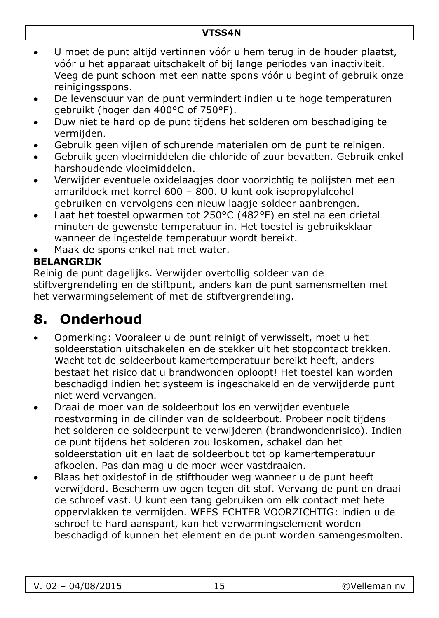- U moet de punt altijd vertinnen vóór u hem terug in de houder plaatst, vóór u het apparaat uitschakelt of bij lange periodes van inactiviteit. Veeg de punt schoon met een natte spons vóór u begint of gebruik onze reinigingsspons.
- De levensduur van de punt vermindert indien u te hoge temperaturen gebruikt (hoger dan 400°C of 750°F).
- Duw niet te hard op de punt tijdens het solderen om beschadiging te vermijden.
- Gebruik geen vijlen of schurende materialen om de punt te reinigen.
- Gebruik geen vloeimiddelen die chloride of zuur bevatten. Gebruik enkel harshoudende vloeimiddelen.
- Verwijder eventuele oxidelaagjes door voorzichtig te polijsten met een amarildoek met korrel 600 – 800. U kunt ook isopropylalcohol gebruiken en vervolgens een nieuw laagje soldeer aanbrengen.
- Laat het toestel opwarmen tot 250°C (482°F) en stel na een drietal minuten de gewenste temperatuur in. Het toestel is gebruiksklaar wanneer de ingestelde temperatuur wordt bereikt.
- Maak de spons enkel nat met water.

### **BELANGRIJK**

Reinig de punt dagelijks. Verwijder overtollig soldeer van de stiftvergrendeling en de stiftpunt, anders kan de punt samensmelten met het verwarmingselement of met de stiftvergrendeling.

# **8. Onderhoud**

- Opmerking: Vooraleer u de punt reinigt of verwisselt, moet u het soldeerstation uitschakelen en de stekker uit het stopcontact trekken. Wacht tot de soldeerbout kamertemperatuur bereikt heeft, anders bestaat het risico dat u brandwonden oploopt! Het toestel kan worden beschadigd indien het systeem is ingeschakeld en de verwijderde punt niet werd vervangen.
- Draai de moer van de soldeerbout los en verwijder eventuele roestvorming in de cilinder van de soldeerbout. Probeer nooit tijdens het solderen de soldeerpunt te verwijderen (brandwondenrisico). Indien de punt tijdens het solderen zou loskomen, schakel dan het soldeerstation uit en laat de soldeerbout tot op kamertemperatuur afkoelen. Pas dan mag u de moer weer vastdraaien.
- Blaas het oxidestof in de stifthouder weg wanneer u de punt heeft verwijderd. Bescherm uw ogen tegen dit stof. Vervang de punt en draai de schroef vast. U kunt een tang gebruiken om elk contact met hete oppervlakken te vermijden. WEES ECHTER VOORZICHTIG: indien u de schroef te hard aanspant, kan het verwarmingselement worden beschadigd of kunnen het element en de punt worden samengesmolten.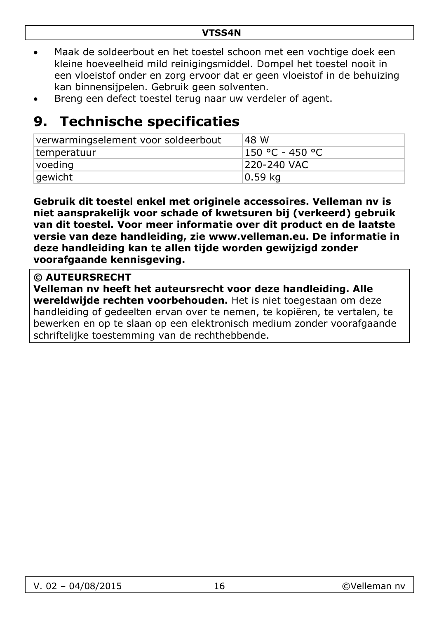- Maak de soldeerbout en het toestel schoon met een vochtige doek een kleine hoeveelheid mild reinigingsmiddel. Dompel het toestel nooit in een vloeistof onder en zorg ervoor dat er geen vloeistof in de behuizing kan binnensijpelen. Gebruik geen solventen.
- Breng een defect toestel terug naar uw verdeler of agent.

## **9. Technische specificaties**

| verwarmingselement voor soldeerbout | 48 W            |
|-------------------------------------|-----------------|
| temperatuur                         | 150 °C - 450 °C |
| voeding                             | 220-240 VAC     |
| qewicht                             | 10.59 ka        |

**Gebruik dit toestel enkel met originele accessoires. Velleman nv is niet aansprakelijk voor schade of kwetsuren bij (verkeerd) gebruik van dit toestel. Voor meer informatie over dit product en de laatste versie van deze handleiding, zie www.velleman.eu. De informatie in deze handleiding kan te allen tijde worden gewijzigd zonder voorafgaande kennisgeving.**

### **© AUTEURSRECHT**

**Velleman nv heeft het auteursrecht voor deze handleiding. Alle wereldwijde rechten voorbehouden.** Het is niet toegestaan om deze handleiding of gedeelten ervan over te nemen, te kopiëren, te vertalen, te bewerken en op te slaan op een elektronisch medium zonder voorafgaande schriftelijke toestemming van de rechthebbende.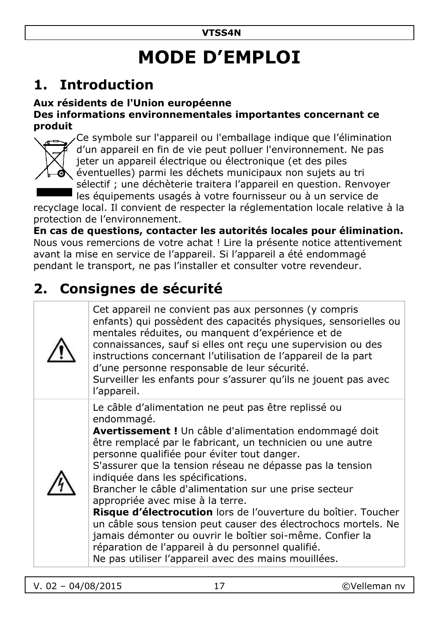# **MODE D'EMPLOI**

# <span id="page-16-0"></span>**1. Introduction**

#### **Aux résidents de l'Union européenne Des informations environnementales importantes concernant ce produit**



Ce symbole sur l'appareil ou l'emballage indique que l'élimination d'un appareil en fin de vie peut polluer l'environnement. Ne pas jeter un appareil électrique ou électronique (et des piles éventuelles) parmi les déchets municipaux non sujets au tri sélectif ; une déchèterie traitera l'appareil en question. Renvoyer

les équipements usagés à votre fournisseur ou à un service de recyclage local. Il convient de respecter la réglementation locale relative à la protection de l'environnement.

**En cas de questions, contacter les autorités locales pour élimination.** Nous vous remercions de votre achat ! Lire la présente notice attentivement avant la mise en service de l'appareil. Si l'appareil a été endommagé pendant le transport, ne pas l'installer et consulter votre revendeur.

# **2. Consignes de sécurité**

| l'appareil.<br>Le câble d'alimentation ne peut pas être replissé ou<br>endommagé.<br>Avertissement ! Un câble d'alimentation endommagé doit<br>être remplacé par le fabricant, un technicien ou une autre<br>personne qualifiée pour éviter tout danger.<br>S'assurer que la tension réseau ne dépasse pas la tension<br>indiquée dans les spécifications.<br>Brancher le câble d'alimentation sur une prise secteur<br>appropriée avec mise à la terre.<br>Risque d'électrocution lors de l'ouverture du boîtier. Toucher<br>un câble sous tension peut causer des électrochocs mortels. Ne<br>jamais démonter ou ouvrir le boîtier soi-même. Confier la | Cet appareil ne convient pas aux personnes (y compris<br>enfants) qui possèdent des capacités physiques, sensorielles ou<br>mentales réduites, ou manquent d'expérience et de<br>connaissances, sauf si elles ont recu une supervision ou des<br>instructions concernant l'utilisation de l'appareil de la part<br>d'une personne responsable de leur sécurité.<br>Surveiller les enfants pour s'assurer qu'ils ne jouent pas avec |
|-----------------------------------------------------------------------------------------------------------------------------------------------------------------------------------------------------------------------------------------------------------------------------------------------------------------------------------------------------------------------------------------------------------------------------------------------------------------------------------------------------------------------------------------------------------------------------------------------------------------------------------------------------------|------------------------------------------------------------------------------------------------------------------------------------------------------------------------------------------------------------------------------------------------------------------------------------------------------------------------------------------------------------------------------------------------------------------------------------|
|                                                                                                                                                                                                                                                                                                                                                                                                                                                                                                                                                                                                                                                           | réparation de l'appareil à du personnel qualifié.                                                                                                                                                                                                                                                                                                                                                                                  |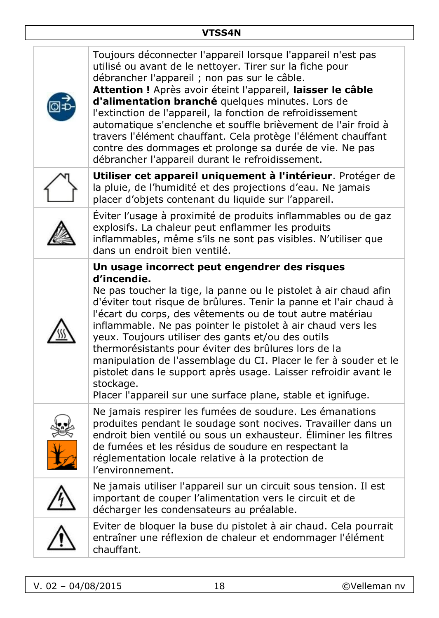| Toujours déconnecter l'appareil lorsque l'appareil n'est pas<br>utilisé ou avant de le nettoyer. Tirer sur la fiche pour<br>débrancher l'appareil ; non pas sur le câble.<br>Attention ! Après avoir éteint l'appareil, laisser le câble<br>d'alimentation branché quelques minutes. Lors de<br>l'extinction de l'appareil, la fonction de refroidissement<br>automatique s'enclenche et souffle brièvement de l'air froid à<br>travers l'élément chauffant. Cela protège l'élément chauffant<br>contre des dommages et prolonge sa durée de vie. Ne pas<br>débrancher l'appareil durant le refroidissement.                                                          |
|-----------------------------------------------------------------------------------------------------------------------------------------------------------------------------------------------------------------------------------------------------------------------------------------------------------------------------------------------------------------------------------------------------------------------------------------------------------------------------------------------------------------------------------------------------------------------------------------------------------------------------------------------------------------------|
| Utiliser cet appareil uniquement à l'intérieur. Protéger de<br>la pluie, de l'humidité et des projections d'eau. Ne jamais<br>placer d'objets contenant du liquide sur l'appareil.                                                                                                                                                                                                                                                                                                                                                                                                                                                                                    |
| Éviter l'usage à proximité de produits inflammables ou de gaz<br>explosifs. La chaleur peut enflammer les produits<br>inflammables, même s'ils ne sont pas visibles. N'utiliser que<br>dans un endroit bien ventilé.                                                                                                                                                                                                                                                                                                                                                                                                                                                  |
| Un usage incorrect peut engendrer des risques<br>d'incendie.<br>Ne pas toucher la tige, la panne ou le pistolet à air chaud afin<br>d'éviter tout risque de brûlures. Tenir la panne et l'air chaud à<br>l'écart du corps, des vêtements ou de tout autre matériau<br>inflammable. Ne pas pointer le pistolet à air chaud vers les<br>yeux. Toujours utiliser des gants et/ou des outils<br>thermorésistants pour éviter des brûlures lors de la<br>manipulation de l'assemblage du CI. Placer le fer à souder et le<br>pistolet dans le support après usage. Laisser refroidir avant le<br>stockage.<br>Placer l'appareil sur une surface plane, stable et ignifuge. |
| Ne jamais respirer les fumées de soudure. Les émanations<br>produites pendant le soudage sont nocives. Travailler dans un<br>endroit bien ventilé ou sous un exhausteur. Eliminer les filtres<br>de fumées et les résidus de soudure en respectant la<br>réglementation locale relative à la protection de<br>l'environnement.                                                                                                                                                                                                                                                                                                                                        |
| Ne jamais utiliser l'appareil sur un circuit sous tension. Il est<br>important de couper l'alimentation vers le circuit et de<br>décharger les condensateurs au préalable.                                                                                                                                                                                                                                                                                                                                                                                                                                                                                            |
| Eviter de bloquer la buse du pistolet à air chaud. Cela pourrait<br>entraîner une réflexion de chaleur et endommager l'élément<br>chauffant.                                                                                                                                                                                                                                                                                                                                                                                                                                                                                                                          |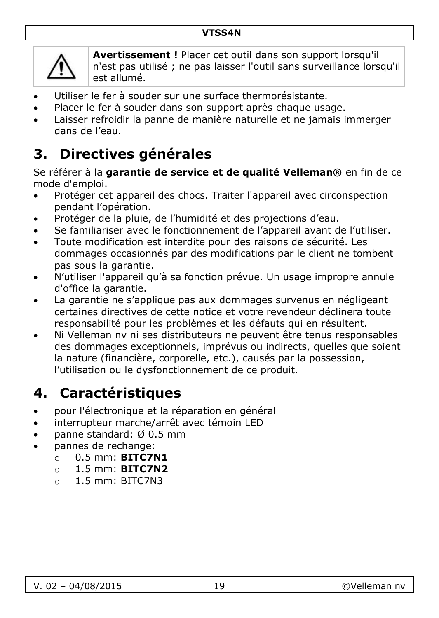

**Avertissement !** Placer cet outil dans son support lorsqu'il n'est pas utilisé ; ne pas laisser l'outil sans surveillance lorsqu'il est allumé.

- Utiliser le fer à souder sur une surface thermorésistante.
- Placer le fer à souder dans son support après chaque usage.
- Laisser refroidir la panne de manière naturelle et ne jamais immerger dans de l'eau.

# **3. Directives générales**

Se référer à la **garantie de service et de qualité Velleman®** en fin de ce mode d'emploi.

- Protéger cet appareil des chocs. Traiter l'appareil avec circonspection pendant l'opération.
- Protéger de la pluie, de l'humidité et des projections d'eau.
- Se familiariser avec le fonctionnement de l'appareil avant de l'utiliser.
- Toute modification est interdite pour des raisons de sécurité. Les dommages occasionnés par des modifications par le client ne tombent pas sous la garantie.
- N'utiliser l'appareil qu'à sa fonction prévue. Un usage impropre annule d'office la garantie.
- La garantie ne s'applique pas aux dommages survenus en négligeant certaines directives de cette notice et votre revendeur déclinera toute responsabilité pour les problèmes et les défauts qui en résultent.
- Ni Velleman nv ni ses distributeurs ne peuvent être tenus responsables des dommages exceptionnels, imprévus ou indirects, quelles que soient la nature (financière, corporelle, etc.), causés par la possession, l'utilisation ou le dysfonctionnement de ce produit.

# **4. Caractéristiques**

- pour l'électronique et la réparation en général
- interrupteur marche/arrêt avec témoin LED
- panne standard: Ø 0.5 mm
- pannes de rechange:
	- o 0.5 mm: **BITC7N1**
	- o 1.5 mm: **BITC7N2**
	- $o$  1.5 mm: BITC7N3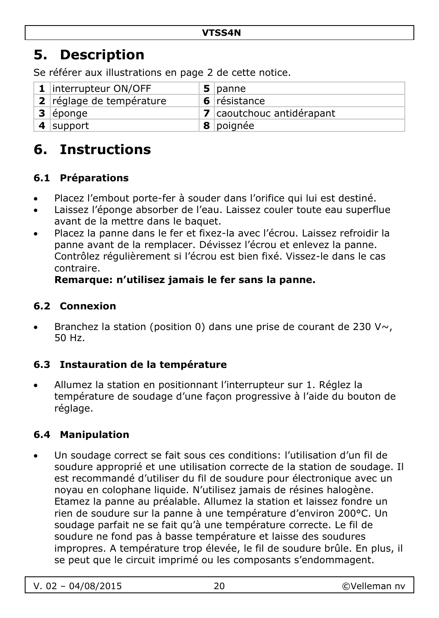# **5. Description**

Se référer aux illustrations en page 2 de cette notice.

| 1 interrupteur ON/OFF    | $5$   panne                      |
|--------------------------|----------------------------------|
| 2 réglage de température | 6 résistance                     |
| $3$ eponge               | <b>7</b> caoutchouc antidérapant |
| 4 support                | 8 poignée                        |

# **6. Instructions**

### **6.1 Préparations**

- Placez l'embout porte-fer à souder dans l'orifice qui lui est destiné.
- Laissez l'éponge absorber de l'eau. Laissez couler toute eau superflue avant de la mettre dans le baquet.
- Placez la panne dans le fer et fixez-la avec l'écrou. Laissez refroidir la panne avant de la remplacer. Dévissez l'écrou et enlevez la panne. Contrôlez régulièrement si l'écrou est bien fixé. Vissez-le dans le cas contraire.

### **Remarque: n'utilisez jamais le fer sans la panne.**

### **6.2 Connexion**

 Branchez la station (position 0) dans une prise de courant de 230 V~, 50 Hz.

### **6.3 Instauration de la température**

 Allumez la station en positionnant l'interrupteur sur 1. Réglez la température de soudage d'une façon progressive à l'aide du bouton de réglage.

### **6.4 Manipulation**

 Un soudage correct se fait sous ces conditions: l'utilisation d'un fil de soudure approprié et une utilisation correcte de la station de soudage. Il est recommandé d'utiliser du fil de soudure pour électronique avec un noyau en colophane liquide. N'utilisez jamais de résines halogène. Etamez la panne au préalable. Allumez la station et laissez fondre un rien de soudure sur la panne à une température d'environ 200°C. Un soudage parfait ne se fait qu'à une température correcte. Le fil de soudure ne fond pas à basse température et laisse des soudures impropres. A température trop élevée, le fil de soudure brûle. En plus, il se peut que le circuit imprimé ou les composants s'endommagent.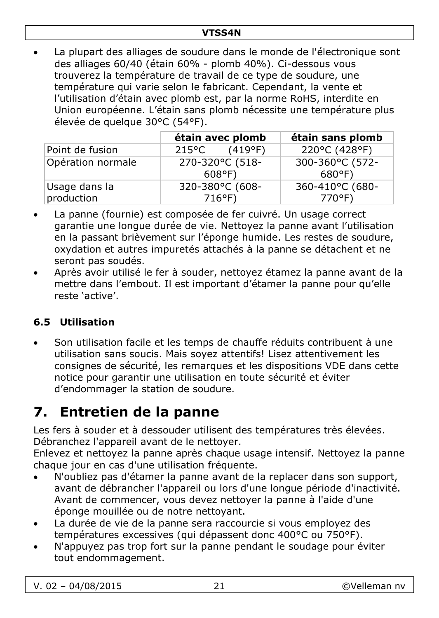La plupart des alliages de soudure dans le monde de l'électronique sont des alliages 60/40 (étain 60% - plomb 40%). Ci-dessous vous trouverez la température de travail de ce type de soudure, une température qui varie selon le fabricant. Cependant, la vente et l'utilisation d'étain avec plomb est, par la norme RoHS, interdite en Union européenne. L'étain sans plomb nécessite une température plus élevée de quelque 30°C (54°F).

|                   | étain avec plomb                  | étain sans plomb          |
|-------------------|-----------------------------------|---------------------------|
| Point de fusion   | (419°F)<br>215°C                  | 220°C (428°F)             |
| Opération normale | 270-320°C (518-<br>$608^{\circ}F$ | 300-360°C (572-<br>680°F) |
| Usage dans la     | 320-380°C (608-                   | 360-410°C (680-           |
| production        | 716°F)                            | 770°F)                    |

- La panne (fournie) est composée de fer cuivré. Un usage correct garantie une longue durée de vie. Nettoyez la panne avant l'utilisation en la passant brièvement sur l'éponge humide. Les restes de soudure, oxydation et autres impuretés attachés à la panne se détachent et ne seront pas soudés.
- Après avoir utilisé le fer à souder, nettoyez étamez la panne avant de la mettre dans l'embout. Il est important d'étamer la panne pour qu'elle reste 'active'.

## **6.5 Utilisation**

 Son utilisation facile et les temps de chauffe réduits contribuent à une utilisation sans soucis. Mais soyez attentifs! Lisez attentivement les consignes de sécurité, les remarques et les dispositions VDE dans cette notice pour garantir une utilisation en toute sécurité et éviter d'endommager la station de soudure.

# **7. Entretien de la panne**

Les fers à souder et à dessouder utilisent des températures très élevées. Débranchez l'appareil avant de le nettoyer.

Enlevez et nettoyez la panne après chaque usage intensif. Nettoyez la panne chaque jour en cas d'une utilisation fréquente.

- N'oubliez pas d'étamer la panne avant de la replacer dans son support, avant de débrancher l'appareil ou lors d'une longue période d'inactivité. Avant de commencer, vous devez nettoyer la panne à l'aide d'une éponge mouillée ou de notre nettoyant.
- La durée de vie de la panne sera raccourcie si vous employez des températures excessives (qui dépassent donc 400°C ou 750°F).
- N'appuyez pas trop fort sur la panne pendant le soudage pour éviter tout endommagement.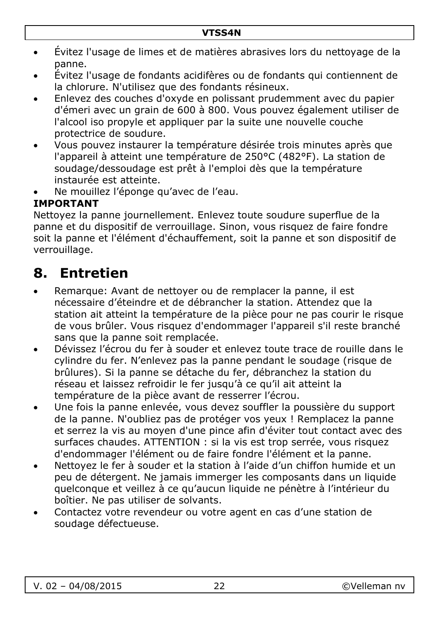- Évitez l'usage de limes et de matières abrasives lors du nettoyage de la panne.
- Évitez l'usage de fondants acidifères ou de fondants qui contiennent de la chlorure. N'utilisez que des fondants résineux.
- Enlevez des couches d'oxyde en polissant prudemment avec du papier d'émeri avec un grain de 600 à 800. Vous pouvez également utiliser de l'alcool iso propyle et appliquer par la suite une nouvelle couche protectrice de soudure.
- Vous pouvez instaurer la température désirée trois minutes après que l'appareil à atteint une température de 250°C (482°F). La station de soudage/dessoudage est prêt à l'emploi dès que la température instaurée est atteinte.
- Ne mouillez l'éponge qu'avec de l'eau.

## **IMPORTANT**

Nettoyez la panne journellement. Enlevez toute soudure superflue de la panne et du dispositif de verrouillage. Sinon, vous risquez de faire fondre soit la panne et l'élément d'échauffement, soit la panne et son dispositif de verrouillage.

# **8. Entretien**

- Remarque: Avant de nettoyer ou de remplacer la panne, il est nécessaire d'éteindre et de débrancher la station. Attendez que la station ait atteint la température de la pièce pour ne pas courir le risque de vous brûler. Vous risquez d'endommager l'appareil s'il reste branché sans que la panne soit remplacée.
- Dévissez l'écrou du fer à souder et enlevez toute trace de rouille dans le cylindre du fer. N'enlevez pas la panne pendant le soudage (risque de brûlures). Si la panne se détache du fer, débranchez la station du réseau et laissez refroidir le fer jusqu'à ce qu'il ait atteint la température de la pièce avant de resserrer l'écrou.
- Une fois la panne enlevée, vous devez souffler la poussière du support de la panne. N'oubliez pas de protéger vos yeux ! Remplacez la panne et serrez la vis au moyen d'une pince afin d'éviter tout contact avec des surfaces chaudes. ATTENTION : si la vis est trop serrée, vous risquez d'endommager l'élément ou de faire fondre l'élément et la panne.
- Nettoyez le fer à souder et la station à l'aide d'un chiffon humide et un peu de détergent. Ne jamais immerger les composants dans un liquide quelconque et veillez à ce qu'aucun liquide ne pénètre à l'intérieur du boîtier. Ne pas utiliser de solvants.
- Contactez votre revendeur ou votre agent en cas d'une station de soudage défectueuse.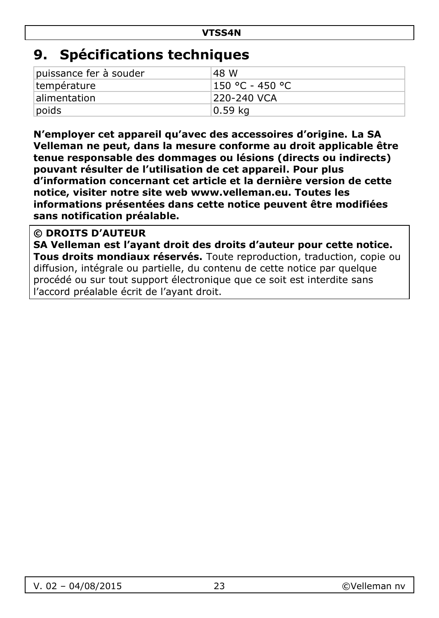# **9. Spécifications techniques**

| puissance fer à souder | 48 W            |
|------------------------|-----------------|
| température            | 150 °C - 450 °C |
| lalimentation          | 220-240 VCA     |
| poids                  | 10.59 ka        |

**N'employer cet appareil qu'avec des accessoires d'origine. La SA Velleman ne peut, dans la mesure conforme au droit applicable être tenue responsable des dommages ou lésions (directs ou indirects) pouvant résulter de l'utilisation de cet appareil. Pour plus d'information concernant cet article et la dernière version de cette notice, visiter notre site web www.velleman.eu. Toutes les informations présentées dans cette notice peuvent être modifiées sans notification préalable.**

### **© DROITS D'AUTEUR**

**SA Velleman est l'ayant droit des droits d'auteur pour cette notice. Tous droits mondiaux réservés.** Toute reproduction, traduction, copie ou diffusion, intégrale ou partielle, du contenu de cette notice par quelque procédé ou sur tout support électronique que ce soit est interdite sans l'accord préalable écrit de l'ayant droit.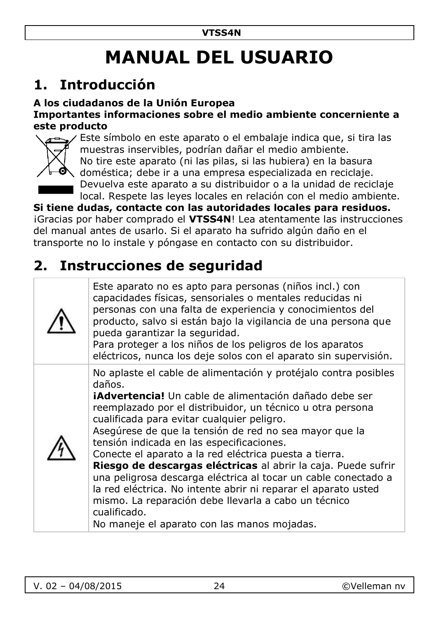# **MANUAL DEL USUARIO**

# <span id="page-23-0"></span>**1. Introducción**

#### **A los ciudadanos de la Unión Europea Importantes informaciones sobre el medio ambiente concerniente a este producto**



Este símbolo en este aparato o el embalaje indica que, si tira las muestras inservibles, podrían dañar el medio ambiente. No tire este aparato (ni las pilas, si las hubiera) en la basura doméstica; debe ir a una empresa especializada en reciclaje. Devuelva este aparato a su distribuidor o a la unidad de reciclaje local. Respete las leyes locales en relación con el medio ambiente.

**Si tiene dudas, contacte con las autoridades locales para residuos.** ¡Gracias por haber comprado el **VTSS4N**! Lea atentamente las instrucciones del manual antes de usarlo. Si el aparato ha sufrido algún daño en el transporte no lo instale y póngase en contacto con su distribuidor.

# **2. Instrucciones de seguridad**

| Este aparato no es apto para personas (niños incl.) con<br>capacidades físicas, sensoriales o mentales reducidas ni<br>personas con una falta de experiencia y conocimientos del<br>producto, salvo si están bajo la vigilancia de una persona que<br>pueda garantizar la seguridad.<br>Para proteger a los niños de los peligros de los aparatos<br>eléctricos, nunca los deje solos con el aparato sin supervisión.                                                                                                                                                                                                                                                                                                                               |
|-----------------------------------------------------------------------------------------------------------------------------------------------------------------------------------------------------------------------------------------------------------------------------------------------------------------------------------------------------------------------------------------------------------------------------------------------------------------------------------------------------------------------------------------------------------------------------------------------------------------------------------------------------------------------------------------------------------------------------------------------------|
| No aplaste el cable de alimentación y protéjalo contra posibles<br>daños.<br><b>iAdvertencia!</b> Un cable de alimentación dañado debe ser<br>reemplazado por el distribuidor, un técnico u otra persona<br>cualificada para evitar cualquier peligro.<br>Asegúrese de que la tensión de red no sea mayor que la<br>tensión indicada en las especificaciones.<br>Conecte el aparato a la red eléctrica puesta a tierra.<br>Riesgo de descargas eléctricas al abrir la caja. Puede sufrir<br>una peligrosa descarga eléctrica al tocar un cable conectado a<br>la red eléctrica. No intente abrir ni reparar el aparato usted<br>mismo. La reparación debe llevarla a cabo un técnico<br>cualificado.<br>No maneje el aparato con las manos mojadas. |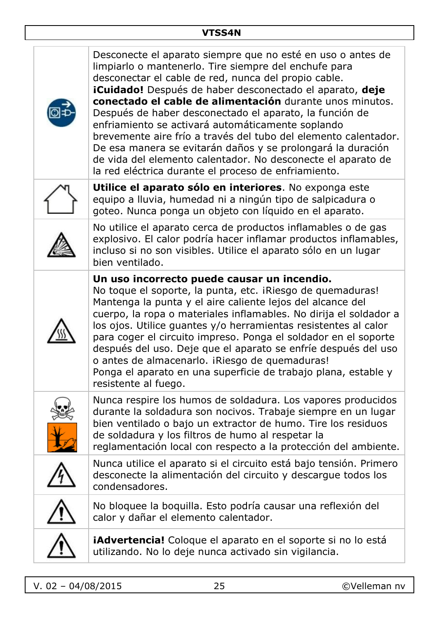| Desconecte el aparato siempre que no esté en uso o antes de<br>limpiarlo o mantenerlo. Tire siempre del enchufe para<br>desconectar el cable de red, nunca del propio cable.<br>iCuidado! Después de haber desconectado el aparato, deje<br>conectado el cable de alimentación durante unos minutos.<br>Después de haber desconectado el aparato, la función de<br>enfriamiento se activará automáticamente soplando<br>brevemente aire frío a través del tubo del elemento calentador.<br>De esa manera se evitarán daños y se prolongará la duración<br>de vida del elemento calentador. No desconecte el aparato de<br>la red eléctrica durante el proceso de enfriamiento. |
|--------------------------------------------------------------------------------------------------------------------------------------------------------------------------------------------------------------------------------------------------------------------------------------------------------------------------------------------------------------------------------------------------------------------------------------------------------------------------------------------------------------------------------------------------------------------------------------------------------------------------------------------------------------------------------|
| Utilice el aparato sólo en interiores. No exponga este<br>equipo a lluvia, humedad ni a ningún tipo de salpicadura o<br>goteo. Nunca ponga un objeto con líquido en el aparato.                                                                                                                                                                                                                                                                                                                                                                                                                                                                                                |
| No utilice el aparato cerca de productos inflamables o de gas<br>explosivo. El calor podría hacer inflamar productos inflamables,<br>incluso si no son visibles. Utilice el aparato sólo en un lugar<br>bien ventilado.                                                                                                                                                                                                                                                                                                                                                                                                                                                        |
| Un uso incorrecto puede causar un incendio.<br>No toque el soporte, la punta, etc. iRiesgo de quemaduras!<br>Mantenga la punta y el aire caliente lejos del alcance del<br>cuerpo, la ropa o materiales inflamables. No dirija el soldador a<br>los ojos. Utilice quantes y/o herramientas resistentes al calor<br>para coger el circuito impreso. Ponga el soldador en el soporte<br>después del uso. Deje que el aparato se enfríe después del uso<br>o antes de almacenarlo. iRiesgo de quemaduras!<br>Ponga el aparato en una superficie de trabajo plana, estable y<br>resistente al fuego.                                                                               |
| Nunca respire los humos de soldadura. Los vapores producidos<br>durante la soldadura son nocivos. Trabaje siempre en un lugar<br>bien ventilado o bajo un extractor de humo. Tire los residuos<br>de soldadura y los filtros de humo al respetar la<br>reglamentación local con respecto a la protección del ambiente.                                                                                                                                                                                                                                                                                                                                                         |
| Nunca utilice el aparato si el circuito está bajo tensión. Primero<br>desconecte la alimentación del circuito y descargue todos los<br>condensadores.                                                                                                                                                                                                                                                                                                                                                                                                                                                                                                                          |
| No bloquee la boquilla. Esto podría causar una reflexión del<br>calor y dañar el elemento calentador.                                                                                                                                                                                                                                                                                                                                                                                                                                                                                                                                                                          |
| <b>iAdvertencia!</b> Coloque el aparato en el soporte si no lo está<br>utilizando. No lo deje nunca activado sin vigilancia.                                                                                                                                                                                                                                                                                                                                                                                                                                                                                                                                                   |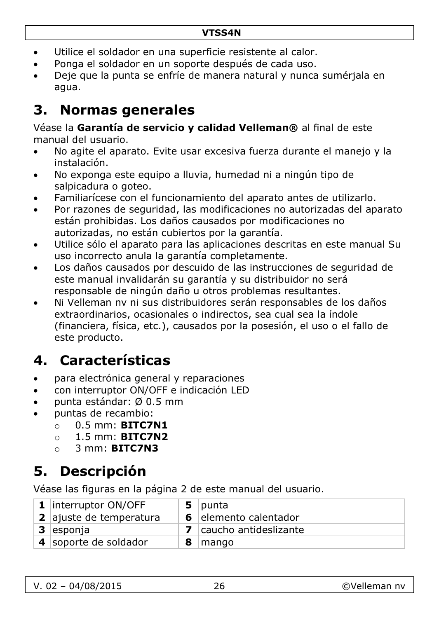- Utilice el soldador en una superficie resistente al calor.
- Ponga el soldador en un soporte después de cada uso.
- Deje que la punta se enfríe de manera natural y nunca sumérjala en agua.

# **3. Normas generales**

Véase la **Garantía de servicio y calidad Velleman®** al final de este manual del usuario.

- No agite el aparato. Evite usar excesiva fuerza durante el manejo y la instalación.
- No exponga este equipo a lluvia, humedad ni a ningún tipo de salpicadura o goteo.
- Familiarícese con el funcionamiento del aparato antes de utilizarlo.
- Por razones de seguridad, las modificaciones no autorizadas del aparato están prohibidas. Los daños causados por modificaciones no autorizadas, no están cubiertos por la garantía.
- Utilice sólo el aparato para las aplicaciones descritas en este manual Su uso incorrecto anula la garantía completamente.
- Los daños causados por descuido de las instrucciones de seguridad de este manual invalidarán su garantía y su distribuidor no será responsable de ningún daño u otros problemas resultantes.
- Ni Velleman nv ni sus distribuidores serán responsables de los daños extraordinarios, ocasionales o indirectos, sea cual sea la índole (financiera, física, etc.), causados por la posesión, el uso o el fallo de este producto.

# **4. Características**

- para electrónica general y reparaciones
- con interruptor ON/OFF e indicación LED
- punta estándar: Ø 0.5 mm
- puntas de recambio:
	- o 0.5 mm: **BITC7N1**
	- o 1.5 mm: **BITC7N2**
	- o 3 mm: **BITC7N3**

# **5. Descripción**

Véase las figuras en la página 2 de este manual del usuario.

| 1 interruptor ON/OFF    | $5$   punta                    |
|-------------------------|--------------------------------|
| 2 ajuste de temperatura | 6 elemento calentador          |
| $3$ esponia             | <b>7</b> caucho antideslizante |
| 4 soporte de soldador   | 8 mango                        |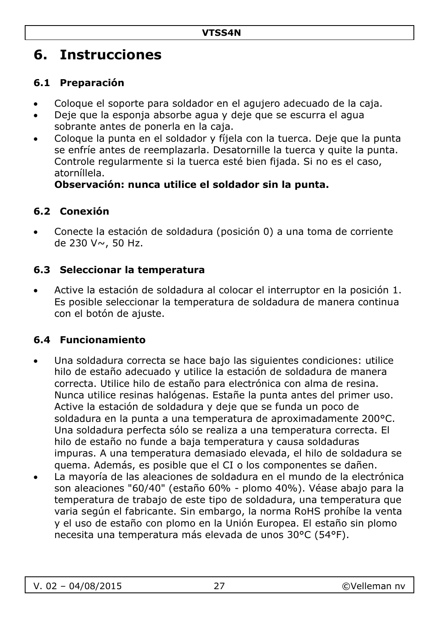# **6. Instrucciones**

### **6.1 Preparación**

- Coloque el soporte para soldador en el agujero adecuado de la caja.
- Deje que la esponja absorbe agua y deje que se escurra el agua sobrante antes de ponerla en la caja.
- Coloque la punta en el soldador y fíjela con la tuerca. Deje que la punta se enfríe antes de reemplazarla. Desatornille la tuerca y quite la punta. Controle regularmente si la tuerca esté bien fijada. Si no es el caso, atorníllela.

**Observación: nunca utilice el soldador sin la punta.**

### **6.2 Conexión**

 Conecte la estación de soldadura (posición 0) a una toma de corriente de 230 V~, 50 Hz.

### **6.3 Seleccionar la temperatura**

 Active la estación de soldadura al colocar el interruptor en la posición 1. Es posible seleccionar la temperatura de soldadura de manera continua con el botón de ajuste.

### **6.4 Funcionamiento**

- Una soldadura correcta se hace bajo las siguientes condiciones: utilice hilo de estaño adecuado y utilice la estación de soldadura de manera correcta. Utilice hilo de estaño para electrónica con alma de resina. Nunca utilice resinas halógenas. Estañe la punta antes del primer uso. Active la estación de soldadura y deje que se funda un poco de soldadura en la punta a una temperatura de aproximadamente 200°C. Una soldadura perfecta sólo se realiza a una temperatura correcta. El hilo de estaño no funde a baja temperatura y causa soldaduras impuras. A una temperatura demasiado elevada, el hilo de soldadura se quema. Además, es posible que el CI o los componentes se dañen.
- La mayoría de las aleaciones de soldadura en el mundo de la electrónica son aleaciones "60/40" (estaño 60% - plomo 40%). Véase abajo para la temperatura de trabajo de este tipo de soldadura, una temperatura que varia según el fabricante. Sin embargo, la norma RoHS prohíbe la venta y el uso de estaño con plomo en la Unión Europea. El estaño sin plomo necesita una temperatura más elevada de unos 30°C (54°F).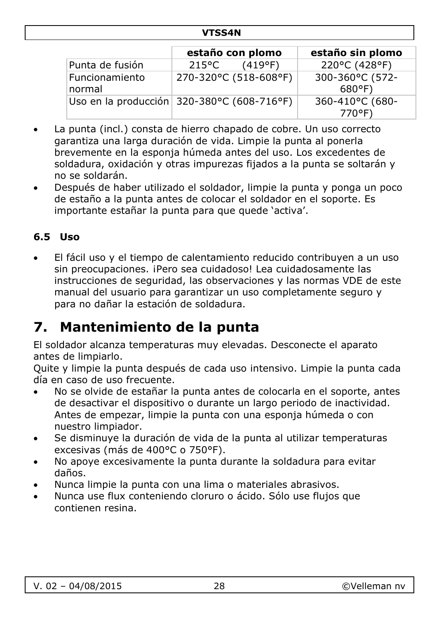|                          | estaño con plomo                           | estaño sin plomo          |
|--------------------------|--------------------------------------------|---------------------------|
| Punta de fusión          | (419°F)<br>215°C                           | 220°C (428°F)             |
| Funcionamiento<br>normal | 270-320°C (518-608°F)                      | 300-360°C (572-<br>680°F) |
|                          | Uso en la producción 320-380°C (608-716°F) | 360-410°C (680-<br>770°F) |

- La punta (incl.) consta de hierro chapado de cobre. Un uso correcto garantiza una larga duración de vida. Limpie la punta al ponerla brevemente en la esponja húmeda antes del uso. Los excedentes de soldadura, oxidación y otras impurezas fijados a la punta se soltarán y no se soldarán.
- Después de haber utilizado el soldador, limpie la punta y ponga un poco de estaño a la punta antes de colocar el soldador en el soporte. Es importante estañar la punta para que quede 'activa'.

### **6.5 Uso**

 El fácil uso y el tiempo de calentamiento reducido contribuyen a un uso sin preocupaciones. ¡Pero sea cuidadoso! Lea cuidadosamente las instrucciones de seguridad, las observaciones y las normas VDE de este manual del usuario para garantizar un uso completamente seguro y para no dañar la estación de soldadura.

## **7. Mantenimiento de la punta**

El soldador alcanza temperaturas muy elevadas. Desconecte el aparato antes de limpiarlo.

Quite y limpie la punta después de cada uso intensivo. Limpie la punta cada día en caso de uso frecuente.

- No se olvide de estañar la punta antes de colocarla en el soporte, antes de desactivar el dispositivo o durante un largo periodo de inactividad. Antes de empezar, limpie la punta con una esponja húmeda o con nuestro limpiador.
- Se disminuye la duración de vida de la punta al utilizar temperaturas excesivas (más de 400°C o 750°F).
- No apoye excesivamente la punta durante la soldadura para evitar daños.
- Nunca limpie la punta con una lima o materiales abrasivos.
- Nunca use flux conteniendo cloruro o ácido. Sólo use flujos que contienen resina.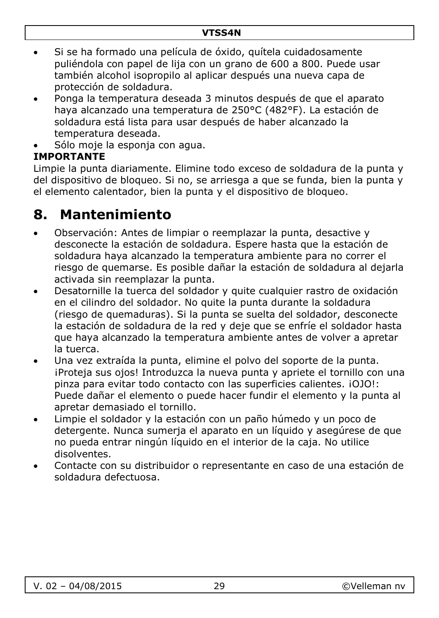- Si se ha formado una película de óxido, quítela cuidadosamente puliéndola con papel de lija con un grano de 600 a 800. Puede usar también alcohol isopropilo al aplicar después una nueva capa de protección de soldadura.
- Ponga la temperatura deseada 3 minutos después de que el aparato haya alcanzado una temperatura de 250°C (482°F). La estación de soldadura está lista para usar después de haber alcanzado la temperatura deseada.
- Sólo moje la esponja con agua.

### **IMPORTANTE**

Limpie la punta diariamente. Elimine todo exceso de soldadura de la punta y del dispositivo de bloqueo. Si no, se arriesga a que se funda, bien la punta y el elemento calentador, bien la punta y el dispositivo de bloqueo.

# **8. Mantenimiento**

- Observación: Antes de limpiar o reemplazar la punta, desactive y desconecte la estación de soldadura. Espere hasta que la estación de soldadura haya alcanzado la temperatura ambiente para no correr el riesgo de quemarse. Es posible dañar la estación de soldadura al dejarla activada sin reemplazar la punta.
- Desatornille la tuerca del soldador y quite cualquier rastro de oxidación en el cilindro del soldador. No quite la punta durante la soldadura (riesgo de quemaduras). Si la punta se suelta del soldador, desconecte la estación de soldadura de la red y deje que se enfríe el soldador hasta que haya alcanzado la temperatura ambiente antes de volver a apretar la tuerca.
- Una vez extraída la punta, elimine el polvo del soporte de la punta. ¡Proteja sus ojos! Introduzca la nueva punta y apriete el tornillo con una pinza para evitar todo contacto con las superficies calientes. ¡OJO!: Puede dañar el elemento o puede hacer fundir el elemento y la punta al apretar demasiado el tornillo.
- Limpie el soldador y la estación con un paño húmedo y un poco de detergente. Nunca sumerja el aparato en un líquido y asegúrese de que no pueda entrar ningún líquido en el interior de la caja. No utilice disolventes.
- Contacte con su distribuidor o representante en caso de una estación de soldadura defectuosa.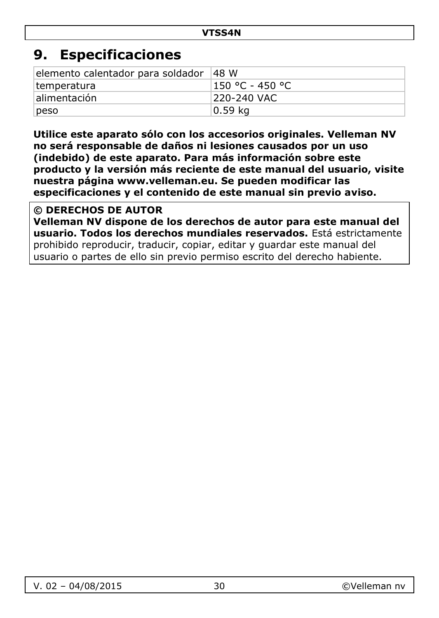# **9. Especificaciones**

| elemento calentador para soldador   48 W |                 |
|------------------------------------------|-----------------|
| temperatura                              | 150 °C - 450 °C |
| alimentación                             | 220-240 VAC     |
| peso                                     | 0.59 kg         |

**Utilice este aparato sólo con los accesorios originales. Velleman NV no será responsable de daños ni lesiones causados por un uso (indebido) de este aparato. Para más información sobre este producto y la versión más reciente de este manual del usuario, visite nuestra página www.velleman.eu. Se pueden modificar las especificaciones y el contenido de este manual sin previo aviso.**

### **© DERECHOS DE AUTOR**

**Velleman NV dispone de los derechos de autor para este manual del usuario. Todos los derechos mundiales reservados.** Está estrictamente prohibido reproducir, traducir, copiar, editar y guardar este manual del usuario o partes de ello sin previo permiso escrito del derecho habiente.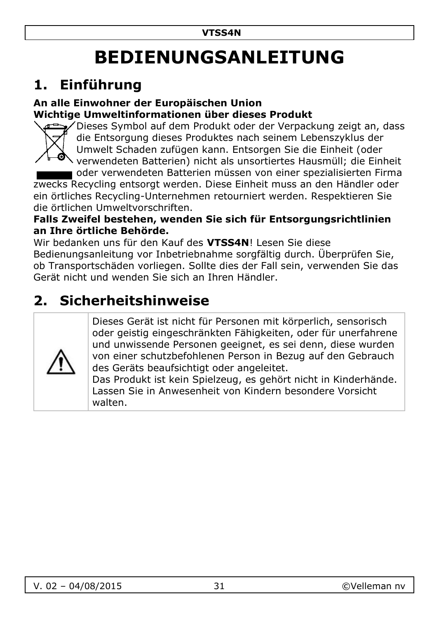# **BEDIENUNGSANLEITUNG**

# <span id="page-30-0"></span>**1. Einführung**

### **An alle Einwohner der Europäischen Union Wichtige Umweltinformationen über dieses Produkt**



Dieses Symbol auf dem Produkt oder der Verpackung zeigt an, dass die Entsorgung dieses Produktes nach seinem Lebenszyklus der Umwelt Schaden zufügen kann. Entsorgen Sie die Einheit (oder verwendeten Batterien) nicht als unsortiertes Hausmüll; die Einheit

oder verwendeten Batterien müssen von einer spezialisierten Firma zwecks Recycling entsorgt werden. Diese Einheit muss an den Händler oder ein örtliches Recycling-Unternehmen retourniert werden. Respektieren Sie die örtlichen Umweltvorschriften.

### **Falls Zweifel bestehen, wenden Sie sich für Entsorgungsrichtlinien an Ihre örtliche Behörde.**

Wir bedanken uns für den Kauf des **VTSS4N**! Lesen Sie diese Bedienungsanleitung vor Inbetriebnahme sorgfältig durch. Überprüfen Sie, ob Transportschäden vorliegen. Sollte dies der Fall sein, verwenden Sie das Gerät nicht und wenden Sie sich an Ihren Händler.

# **2. Sicherheitshinweise**



Dieses Gerät ist nicht für Personen mit körperlich, sensorisch oder geistig eingeschränkten Fähigkeiten, oder für unerfahrene und unwissende Personen geeignet, es sei denn, diese wurden von einer schutzbefohlenen Person in Bezug auf den Gebrauch des Geräts beaufsichtigt oder angeleitet.

Das Produkt ist kein Spielzeug, es gehört nicht in Kinderhände. Lassen Sie in Anwesenheit von Kindern besondere Vorsicht walten.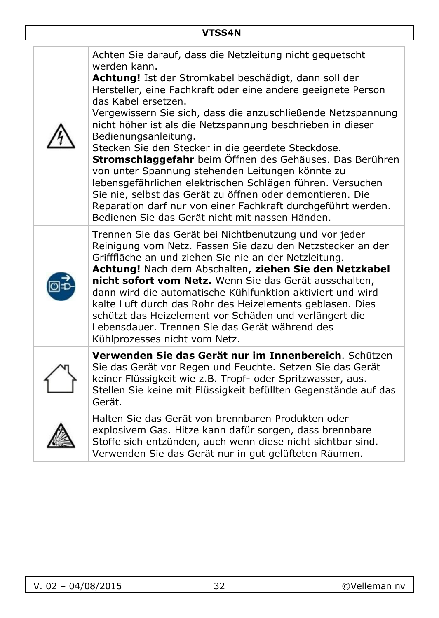| Achten Sie darauf, dass die Netzleitung nicht geguetscht<br>werden kann.<br>Achtung! Ist der Stromkabel beschädigt, dann soll der<br>Hersteller, eine Fachkraft oder eine andere geeignete Person<br>das Kabel ersetzen.<br>Vergewissern Sie sich, dass die anzuschließende Netzspannung<br>nicht höher ist als die Netzspannung beschrieben in dieser<br>Bedienungsanleitung.<br>Stecken Sie den Stecker in die geerdete Steckdose.<br>Stromschlaggefahr beim Öffnen des Gehäuses. Das Berühren<br>von unter Spannung stehenden Leitungen könnte zu<br>lebensgefährlichen elektrischen Schlägen führen. Versuchen<br>Sie nie, selbst das Gerät zu öffnen oder demontieren. Die<br>Reparation darf nur von einer Fachkraft durchgeführt werden.<br>Bedienen Sie das Gerät nicht mit nassen Händen. |
|----------------------------------------------------------------------------------------------------------------------------------------------------------------------------------------------------------------------------------------------------------------------------------------------------------------------------------------------------------------------------------------------------------------------------------------------------------------------------------------------------------------------------------------------------------------------------------------------------------------------------------------------------------------------------------------------------------------------------------------------------------------------------------------------------|
| Trennen Sie das Gerät bei Nichtbenutzung und vor jeder<br>Reinigung vom Netz. Fassen Sie dazu den Netzstecker an der<br>Grifffläche an und ziehen Sie nie an der Netzleitung.<br>Achtung! Nach dem Abschalten, ziehen Sie den Netzkabel<br>nicht sofort vom Netz. Wenn Sie das Gerät ausschalten.<br>dann wird die automatische Kühlfunktion aktiviert und wird<br>kalte Luft durch das Rohr des Heizelements geblasen. Dies<br>schützt das Heizelement vor Schäden und verlängert die<br>Lebensdauer. Trennen Sie das Gerät während des<br>Kühlprozesses nicht vom Netz.                                                                                                                                                                                                                          |
| Verwenden Sie das Gerät nur im Innenbereich. Schützen<br>Sie das Gerät vor Regen und Feuchte. Setzen Sie das Gerät<br>keiner Flüssigkeit wie z.B. Tropf- oder Spritzwasser, aus.<br>Stellen Sie keine mit Flüssigkeit befüllten Gegenstände auf das<br>Gerät.                                                                                                                                                                                                                                                                                                                                                                                                                                                                                                                                      |
| Halten Sie das Gerät von brennbaren Produkten oder<br>explosivem Gas. Hitze kann dafür sorgen, dass brennbare<br>Stoffe sich entzünden, auch wenn diese nicht sichtbar sind.<br>Verwenden Sie das Gerät nur in gut gelüfteten Räumen.                                                                                                                                                                                                                                                                                                                                                                                                                                                                                                                                                              |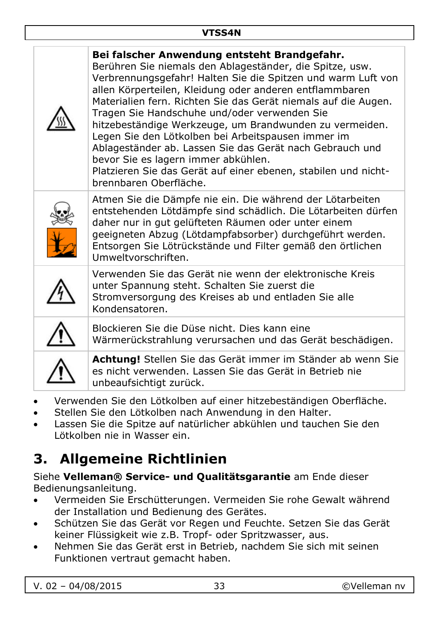| Bei falscher Anwendung entsteht Brandgefahr.<br>Berühren Sie niemals den Ablageständer, die Spitze, usw.<br>Verbrennungsgefahr! Halten Sie die Spitzen und warm Luft von<br>allen Körperteilen, Kleidung oder anderen entflammbaren<br>Materialien fern. Richten Sie das Gerät niemals auf die Augen.<br>Tragen Sie Handschuhe und/oder verwenden Sie<br>hitzebeständige Werkzeuge, um Brandwunden zu vermeiden.<br>Legen Sie den Lötkolben bei Arbeitspausen immer im<br>Ablageständer ab. Lassen Sie das Gerät nach Gebrauch und<br>bevor Sie es lagern immer abkühlen.<br>Platzieren Sie das Gerät auf einer ebenen, stabilen und nicht-<br>brennbaren Oberfläche. |
|-----------------------------------------------------------------------------------------------------------------------------------------------------------------------------------------------------------------------------------------------------------------------------------------------------------------------------------------------------------------------------------------------------------------------------------------------------------------------------------------------------------------------------------------------------------------------------------------------------------------------------------------------------------------------|
| Atmen Sie die Dämpfe nie ein. Die während der Lötarbeiten<br>entstehenden Lötdämpfe sind schädlich. Die Lötarbeiten dürfen<br>daher nur in gut gelüfteten Räumen oder unter einem<br>geeigneten Abzug (Lötdampfabsorber) durchgeführt werden.<br>Entsorgen Sie Lötrückstände und Filter gemäß den örtlichen<br>Umweltvorschriften.                                                                                                                                                                                                                                                                                                                                    |
| Verwenden Sie das Gerät nie wenn der elektronische Kreis<br>unter Spannung steht. Schalten Sie zuerst die<br>Stromversorgung des Kreises ab und entladen Sie alle<br>Kondensatoren.                                                                                                                                                                                                                                                                                                                                                                                                                                                                                   |
| Blockieren Sie die Düse nicht. Dies kann eine<br>Wärmerückstrahlung verursachen und das Gerät beschädigen.                                                                                                                                                                                                                                                                                                                                                                                                                                                                                                                                                            |
| Achtung! Stellen Sie das Gerät immer im Ständer ab wenn Sie<br>es nicht verwenden. Lassen Sie das Gerät in Betrieb nie<br>unbeaufsichtigt zurück.                                                                                                                                                                                                                                                                                                                                                                                                                                                                                                                     |

- Verwenden Sie den Lötkolben auf einer hitzebeständigen Oberfläche.
- Stellen Sie den Lötkolben nach Anwendung in den Halter.
- Lassen Sie die Spitze auf natürlicher abkühlen und tauchen Sie den Lötkolben nie in Wasser ein.

# **3. Allgemeine Richtlinien**

Siehe **Velleman® Service- und Qualitätsgarantie** am Ende dieser Bedienungsanleitung.

- Vermeiden Sie Erschütterungen. Vermeiden Sie rohe Gewalt während der Installation und Bedienung des Gerätes.
- Schützen Sie das Gerät vor Regen und Feuchte. Setzen Sie das Gerät keiner Flüssigkeit wie z.B. Tropf- oder Spritzwasser, aus.
- Nehmen Sie das Gerät erst in Betrieb, nachdem Sie sich mit seinen Funktionen vertraut gemacht haben.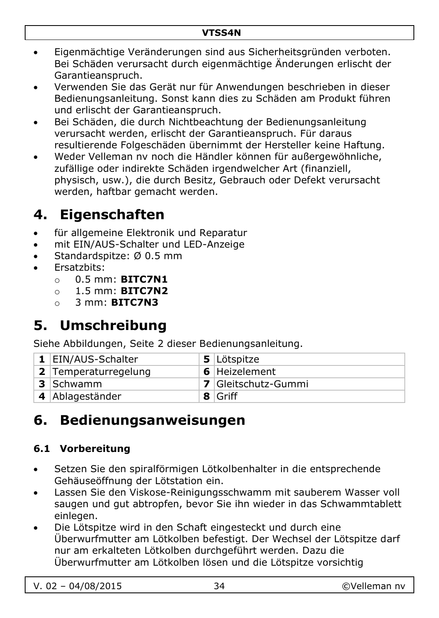- Eigenmächtige Veränderungen sind aus Sicherheitsgründen verboten. Bei Schäden verursacht durch eigenmächtige Änderungen erlischt der Garantieanspruch.
- Verwenden Sie das Gerät nur für Anwendungen beschrieben in dieser Bedienungsanleitung. Sonst kann dies zu Schäden am Produkt führen und erlischt der Garantieanspruch.
- Bei Schäden, die durch Nichtbeachtung der Bedienungsanleitung verursacht werden, erlischt der Garantieanspruch. Für daraus resultierende Folgeschäden übernimmt der Hersteller keine Haftung.
- Weder Velleman nv noch die Händler können für außergewöhnliche, zufällige oder indirekte Schäden irgendwelcher Art (finanziell, physisch, usw.), die durch Besitz, Gebrauch oder Defekt verursacht werden, haftbar gemacht werden.

# **4. Eigenschaften**

- für allgemeine Elektronik und Reparatur
- mit EIN/AUS-Schalter und LED-Anzeige
- Standardspitze: Ø 0.5 mm
- Ersatzbits:
	- o 0.5 mm: **BITC7N1**
	- o 1.5 mm: **BITC7N2**
	- o 3 mm: **BITC7N3**

# **5. Umschreibung**

Siehe Abbildungen, Seite 2 dieser Bedienungsanleitung.

| 1 EIN/AUS-Schalter   | <b>5</b> Lötspitze       |
|----------------------|--------------------------|
| 2 Temperaturregelung | $^{\circ}$ 6 Heizelement |
| 3 Schwamm            | 7 Gleitschutz-Gummi      |
| 4 Ablageständer      | 8 Griff                  |

# **6. Bedienungsanweisungen**

## **6.1 Vorbereitung**

- Setzen Sie den spiralförmigen Lötkolbenhalter in die entsprechende Gehäuseöffnung der Lötstation ein.
- Lassen Sie den Viskose-Reinigungsschwamm mit sauberem Wasser voll saugen und gut abtropfen, bevor Sie ihn wieder in das Schwammtablett einlegen.
- Die Lötspitze wird in den Schaft eingesteckt und durch eine Überwurfmutter am Lötkolben befestigt. Der Wechsel der Lötspitze darf nur am erkalteten Lötkolben durchgeführt werden. Dazu die Überwurfmutter am Lötkolben lösen und die Lötspitze vorsichtig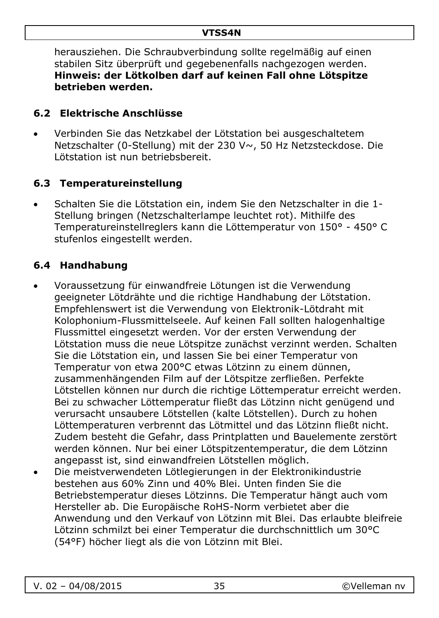herausziehen. Die Schraubverbindung sollte regelmäßig auf einen stabilen Sitz überprüft und gegebenenfalls nachgezogen werden. **Hinweis: der Lötkolben darf auf keinen Fall ohne Lötspitze betrieben werden.**

### **6.2 Elektrische Anschlüsse**

 Verbinden Sie das Netzkabel der Lötstation bei ausgeschaltetem Netzschalter (0-Stellung) mit der 230 V~, 50 Hz Netzsteckdose. Die Lötstation ist nun betriebsbereit.

### **6.3 Temperatureinstellung**

 Schalten Sie die Lötstation ein, indem Sie den Netzschalter in die 1- Stellung bringen (Netzschalterlampe leuchtet rot). Mithilfe des Temperatureinstellreglers kann die Löttemperatur von 150° - 450° C stufenlos eingestellt werden.

### **6.4 Handhabung**

- Voraussetzung für einwandfreie Lötungen ist die Verwendung geeigneter Lötdrähte und die richtige Handhabung der Lötstation. Empfehlenswert ist die Verwendung von Elektronik-Lötdraht mit Kolophonium-Flussmittelseele. Auf keinen Fall sollten halogenhaltige Flussmittel eingesetzt werden. Vor der ersten Verwendung der Lötstation muss die neue Lötspitze zunächst verzinnt werden. Schalten Sie die Lötstation ein, und lassen Sie bei einer Temperatur von Temperatur von etwa 200°C etwas Lötzinn zu einem dünnen, zusammenhängenden Film auf der Lötspitze zerfließen. Perfekte Lötstellen können nur durch die richtige Löttemperatur erreicht werden. Bei zu schwacher Löttemperatur fließt das Lötzinn nicht genügend und verursacht unsaubere Lötstellen (kalte Lötstellen). Durch zu hohen Löttemperaturen verbrennt das Lötmittel und das Lötzinn fließt nicht. Zudem besteht die Gefahr, dass Printplatten und Bauelemente zerstört werden können. Nur bei einer Lötspitzentemperatur, die dem Lötzinn angepasst ist, sind einwandfreien Lötstellen möglich.
- Die meistverwendeten Lötlegierungen in der Elektronikindustrie bestehen aus 60% Zinn und 40% Blei. Unten finden Sie die Betriebstemperatur dieses Lötzinns. Die Temperatur hängt auch vom Hersteller ab. Die Europäische RoHS-Norm verbietet aber die Anwendung und den Verkauf von Lötzinn mit Blei. Das erlaubte bleifreie Lötzinn schmilzt bei einer Temperatur die durchschnittlich um 30°C (54°F) höcher liegt als die von Lötzinn mit Blei.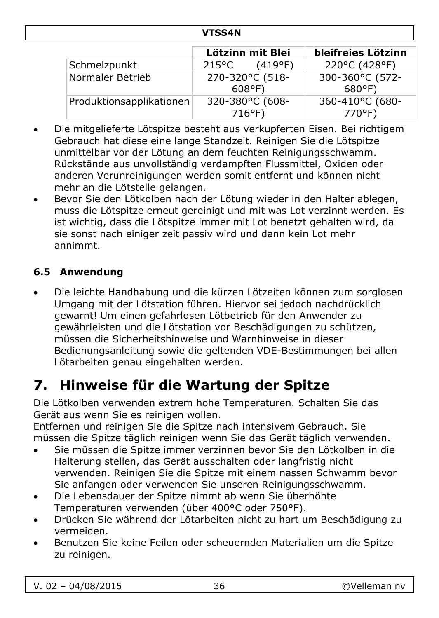|                          | Lötzinn mit Blei          | bleifreies Lötzinn        |
|--------------------------|---------------------------|---------------------------|
| Schmelzpunkt             | $(419^{\circ}F)$<br>215°C | 220°C (428°F)             |
| Normaler Betrieb         | 270-320°C (518-<br>608°F) | 300-360°C (572-<br>680°F) |
| Produktionsapplikationen | 320-380°C (608-<br>716°F) | 360-410°C (680-<br>770°F) |

- Die mitgelieferte Lötspitze besteht aus verkupferten Eisen. Bei richtigem Gebrauch hat diese eine lange Standzeit. Reinigen Sie die Lötspitze unmittelbar vor der Lötung an dem feuchten Reinigungsschwamm. Rückstände aus unvollständig verdampften Flussmittel, Oxiden oder anderen Verunreinigungen werden somit entfernt und können nicht mehr an die Lötstelle gelangen.
- Bevor Sie den Lötkolben nach der Lötung wieder in den Halter ablegen, muss die Lötspitze erneut gereinigt und mit was Lot verzinnt werden. Es ist wichtig, dass die Lötspitze immer mit Lot benetzt gehalten wird, da sie sonst nach einiger zeit passiv wird und dann kein Lot mehr annimmt.

### **6.5 Anwendung**

 Die leichte Handhabung und die kürzen Lötzeiten können zum sorglosen Umgang mit der Lötstation führen. Hiervor sei jedoch nachdrücklich gewarnt! Um einen gefahrlosen Lötbetrieb für den Anwender zu gewährleisten und die Lötstation vor Beschädigungen zu schützen, müssen die Sicherheitshinweise und Warnhinweise in dieser Bedienungsanleitung sowie die geltenden VDE-Bestimmungen bei allen Lötarbeiten genau eingehalten werden.

# **7. Hinweise für die Wartung der Spitze**

Die Lötkolben verwenden extrem hohe Temperaturen. Schalten Sie das Gerät aus wenn Sie es reinigen wollen.

Entfernen und reinigen Sie die Spitze nach intensivem Gebrauch. Sie müssen die Spitze täglich reinigen wenn Sie das Gerät täglich verwenden.

- Sie müssen die Spitze immer verzinnen bevor Sie den Lötkolben in die Halterung stellen, das Gerät ausschalten oder langfristig nicht verwenden. Reinigen Sie die Spitze mit einem nassen Schwamm bevor Sie anfangen oder verwenden Sie unseren Reinigungsschwamm.
- Die Lebensdauer der Spitze nimmt ab wenn Sie überhöhte Temperaturen verwenden (über 400°C oder 750°F).
- Drücken Sie während der Lötarbeiten nicht zu hart um Beschädigung zu vermeiden.
- Benutzen Sie keine Feilen oder scheuernden Materialien um die Spitze zu reinigen.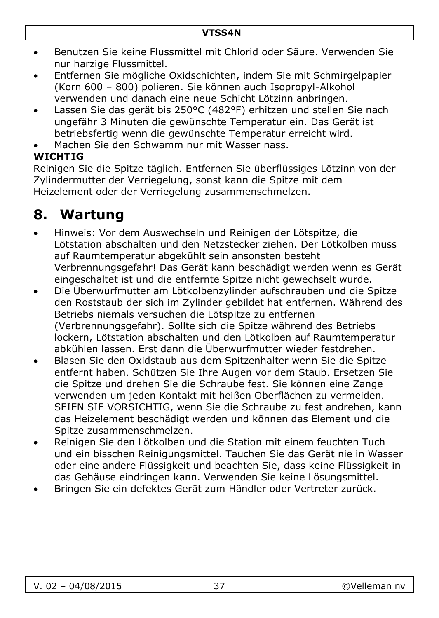- Benutzen Sie keine Flussmittel mit Chlorid oder Säure. Verwenden Sie nur harzige Flussmittel.
- Entfernen Sie mögliche Oxidschichten, indem Sie mit Schmirgelpapier (Korn 600 – 800) polieren. Sie können auch Isopropyl-Alkohol verwenden und danach eine neue Schicht Lötzinn anbringen.
- Lassen Sie das gerät bis 250°C (482°F) erhitzen und stellen Sie nach ungefähr 3 Minuten die gewünschte Temperatur ein. Das Gerät ist betriebsfertig wenn die gewünschte Temperatur erreicht wird.
- Machen Sie den Schwamm nur mit Wasser nass.

## **WICHTIG**

Reinigen Sie die Spitze täglich. Entfernen Sie überflüssiges Lötzinn von der Zylindermutter der Verriegelung, sonst kann die Spitze mit dem Heizelement oder der Verriegelung zusammenschmelzen.

# **8. Wartung**

- Hinweis: Vor dem Auswechseln und Reinigen der Lötspitze, die Lötstation abschalten und den Netzstecker ziehen. Der Lötkolben muss auf Raumtemperatur abgekühlt sein ansonsten besteht Verbrennungsgefahr! Das Gerät kann beschädigt werden wenn es Gerät eingeschaltet ist und die entfernte Spitze nicht gewechselt wurde.
- Die Überwurfmutter am Lötkolbenzylinder aufschrauben und die Spitze den Roststaub der sich im Zylinder gebildet hat entfernen. Während des Betriebs niemals versuchen die Lötspitze zu entfernen (Verbrennungsgefahr). Sollte sich die Spitze während des Betriebs lockern, Lötstation abschalten und den Lötkolben auf Raumtemperatur abkühlen lassen. Erst dann die Überwurfmutter wieder festdrehen.
- Blasen Sie den Oxidstaub aus dem Spitzenhalter wenn Sie die Spitze entfernt haben. Schützen Sie Ihre Augen vor dem Staub. Ersetzen Sie die Spitze und drehen Sie die Schraube fest. Sie können eine Zange verwenden um jeden Kontakt mit heißen Oberflächen zu vermeiden. SEIEN SIE VORSICHTIG, wenn Sie die Schraube zu fest andrehen, kann das Heizelement beschädigt werden und können das Element und die Spitze zusammenschmelzen.
- Reinigen Sie den Lötkolben und die Station mit einem feuchten Tuch und ein bisschen Reinigungsmittel. Tauchen Sie das Gerät nie in Wasser oder eine andere Flüssigkeit und beachten Sie, dass keine Flüssigkeit in das Gehäuse eindringen kann. Verwenden Sie keine Lösungsmittel.
- Bringen Sie ein defektes Gerät zum Händler oder Vertreter zurück.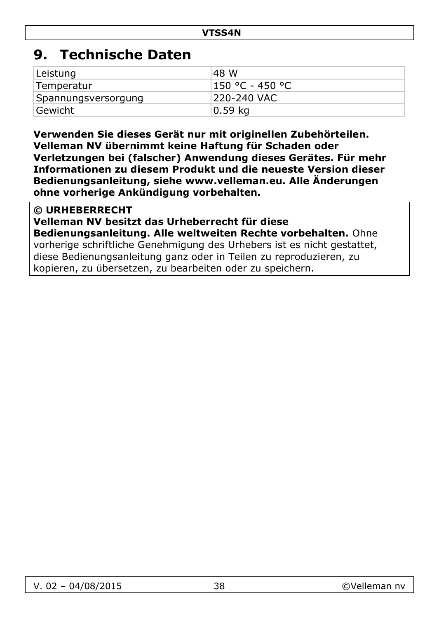# **9. Technische Daten**

| Leistung            | 48 W            |
|---------------------|-----------------|
| Temperatur          | 150 °C - 450 °C |
| Spannungsversorgung | 220-240 VAC     |
| Gewicht             | $0.59$ kg       |

**Verwenden Sie dieses Gerät nur mit originellen Zubehörteilen. Velleman NV übernimmt keine Haftung für Schaden oder Verletzungen bei (falscher) Anwendung dieses Gerätes. Für mehr Informationen zu diesem Produkt und die neueste Version dieser Bedienungsanleitung, siehe www.velleman.eu. Alle Änderungen ohne vorherige Ankündigung vorbehalten.**

### **© URHEBERRECHT**

**Velleman NV besitzt das Urheberrecht für diese Bedienungsanleitung. Alle weltweiten Rechte vorbehalten.** Ohne vorherige schriftliche Genehmigung des Urhebers ist es nicht gestattet, diese Bedienungsanleitung ganz oder in Teilen zu reproduzieren, zu kopieren, zu übersetzen, zu bearbeiten oder zu speichern.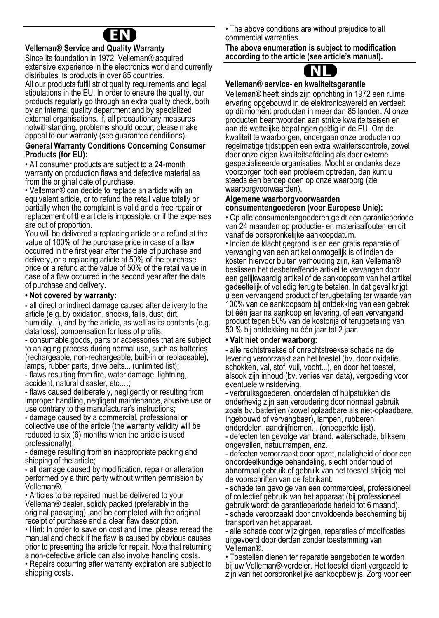# ÆD

**Velleman® Service and Quality Warranty** Since its foundation in 1972, Velleman® acquired extensive experience in the electronics world and currently distributes its products in over 85 countries. All our products fulfil strict quality requirements and legal stipulations in the EU. In order to ensure the quality, our products regularly go through an extra quality check, both by an internal quality department and by specialized external organisations. If, all precautionary measures notwithstanding, problems should occur, please make appeal to our warranty (see guarantee conditions).

#### **General Warranty Conditions Concerning Consumer Products (for EU):**

• All consumer products are subject to a 24-month warranty on production flaws and defective material as from the original date of purchase.

• Velleman® can decide to replace an article with an equivalent article, or to refund the retail value totally or partially when the complaint is valid and a free repair or replacement of the article is impossible, or if the expenses are out of proportion.

You will be delivered a replacing article or a refund at the value of 100% of the purchase price in case of a flaw occurred in the first year after the date of purchase and delivery, or a replacing article at 50% of the purchase price or a refund at the value of 50% of the retail value in case of a flaw occurred in the second year after the date of purchase and delivery.

#### **• Not covered by warranty:**

- all direct or indirect damage caused after delivery to the article (e.g. by oxidation, shocks, falls, dust, dirt, humidity...), and by the article, as well as its contents (e.g. data loss), compensation for loss of profits;

- consumable goods, parts or accessories that are subject to an aging process during normal use, such as batteries (rechargeable, non-rechargeable, built-in or replaceable), lamps, rubber parts, drive belts... (unlimited list);

- flaws resulting from fire, water damage, lightning, accident, natural disaster, etc..

- flaws caused deliberately, negligently or resulting from improper handling, negligent maintenance, abusive use or use contrary to the manufacturer's instructions;

- damage caused by a commercial, professional or collective use of the article (the warranty validity will be reduced to six (6) months when the article is used professionally)

- damage resulting from an inappropriate packing and shipping of the article:

- all damage caused by modification, repair or alteration performed by a third party without written permission by Velleman®.

• Articles to be repaired must be delivered to your Velleman® dealer, solidly packed (preferably in the original packaging), and be completed with the original receipt of purchase and a clear flaw description.

• Hint: In order to save on cost and time, please reread the manual and check if the flaw is caused by obvious causes prior to presenting the article for repair. Note that returning a non-defective article can also involve handling costs.

• Repairs occurring after warranty expiration are subject to shipping costs.

• The above conditions are without prejudice to all commercial warranties.

**The above enumeration is subject to modification according to the article (see article's manual).**



#### **Velleman® service- en kwaliteitsgarantie**

Velleman® heeft sinds zijn oprichting in 1972 een ruime ervaring opgebouwd in de elektronicawereld en verdeelt op dit moment producten in meer dan 85 landen. Al onze producten beantwoorden aan strikte kwaliteitseisen en aan de wettelijke bepalingen geldig in de EU. Om de kwaliteit te waarborgen, ondergaan onze producten op regelmatige tijdstippen een extra kwaliteitscontrole, zowel door onze eigen kwaliteitsafdeling als door externe gespecialiseerde organisaties. Mocht er ondanks deze voorzorgen toch een probleem optreden, dan kunt u steeds een beroep doen op onze waarborg (zie waarborgvoorwaarden).

#### **Algemene waarborgvoorwaarden consumentengoederen (voor Europese Unie):**

• Op alle consumentengoederen geldt een garantieperiode van 24 maanden op productie- en materiaalfouten en dit vanaf de oorspronkelijke aankoopdatum.

• Indien de klacht gegrond is en een gratis reparatie of vervanging van een artikel onmogelijk is of indien de kosten hiervoor buiten verhouding zijn, kan Velleman® beslissen het desbetreffende artikel te vervangen door een gelijkwaardig artikel of de aankoopsom van het artikel gedeeltelijk of volledig terug te betalen. In dat geval krijgt u een vervangend product of terugbetaling ter waarde van 100% van de aankoopsom bij ontdekking van een gebrek tot één jaar na aankoop en levering, of een vervangend product tegen 50% van de kostprijs of terugbetaling van 50 % bij ontdekking na één jaar tot 2 jaar.

#### **• Valt niet onder waarborg:**

alle rechtstreekse of onrechtstreekse schade na de levering veroorzaakt aan het toestel (bv. door oxidatie, schokken, val, stof, vuil, vocht...), en door het toestel, alsook zijn inhoud (bv. verlies van data), vergoeding voor eventuele winstderving.

- verbruiksgoederen, onderdelen of hulpstukken die onderhevig zijn aan veroudering door normaal gebruik zoals bv. batterijen (zowel oplaadbare als niet-oplaadbare, ingebouwd of vervangbaar), lampen, rubberen onderdelen, aandrijfriemen... (onbeperkte lijst).

- defecten ten gevolge van brand, waterschade, bliksem, ongevallen, natuurrampen, enz.

- defecten veroorzaakt door opzet, nalatigheid of door een onoordeelkundige behandeling, slecht onderhoud of abnormaal gebruik of gebruik van het toestel strijdig met de voorschriften van de fabrikant.

- schade ten gevolge van een commercieel, professioneel of collectief gebruik van het apparaat (bij professioneel gebruik wordt de garantieperiode herleid tot 6 maand). - schade veroorzaakt door onvoldoende bescherming bij transport van het apparaat.

- alle schade door wijzigingen, reparaties of modificaties uitgevoerd door derden zonder toestemming van Velleman®.

• Toestellen dienen ter reparatie aangeboden te worden bij uw Velleman®-verdeler. Het toestel dient vergezeld te zijn van het oorspronkelijke aankoopbewijs. Zorg voor een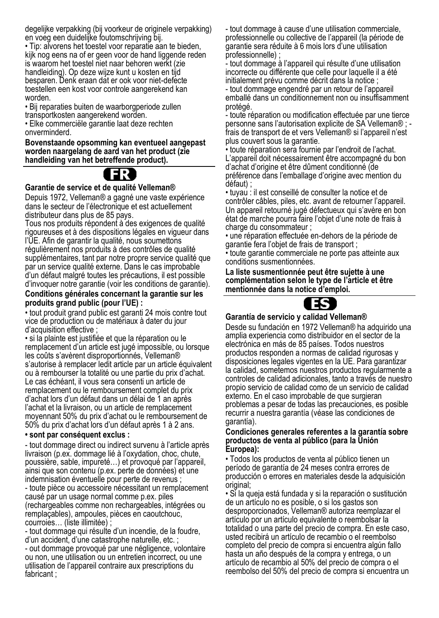degelijke verpakking (bij voorkeur de originele verpakking) en voeg een duidelijke foutomschrijving bij.

• Tip: alvorens het toestel voor reparatie aan te bieden, kijk nog eens na of er geen voor de hand liggende reden is waarom het toestel niet naar behoren werkt (zie handleiding). Op deze wijze kunt u kosten en tijd besparen. Denk eraan dat er ook voor niet-defecte toestellen een kost voor controle aangerekend kan worden.

• Bij reparaties buiten de waarborgperiode zullen transportkosten aangerekend worden.

• Elke commerciële garantie laat deze rechten onverminderd.

**Bovenstaande opsomming kan eventueel aangepast worden naargelang de aard van het product (zie handleiding van het betreffende product).**



#### **Garantie de service et de qualité Velleman®**

Depuis 1972, Velleman® a gagné une vaste expérience dans le secteur de l'électronique et est actuellement distributeur dans plus de 85 pays.

Tous nos produits répondent à des exigences de qualité rigoureuses et à des dispositions légales en vigueur dans l'UE. Afin de garantir la qualité, nous soumettons régulièrement nos produits à des contrôles de qualité supplémentaires, tant par notre propre service qualité que par un service qualité externe. Dans le cas improbable d'un défaut malgré toutes les précautions, il est possible d'invoquer notre garantie (voir les conditions de garantie).

#### **Conditions générales concernant la garantie sur les produits grand public (pour l'UE) :**

• tout produit grand public est garanti 24 mois contre tout vice de production ou de matériaux à dater du jour d'acquisition effective ;

• si la plainte est justifiée et que la réparation ou le remplacement d'un article est jugé impossible, ou lorsque les coûts s'avèrent disproportionnés, Velleman® s'autorise à remplacer ledit article par un article équivalent ou à rembourser la totalité ou une partie du prix d'achat. Le cas échéant, il vous sera consenti un article de remplacement ou le remboursement complet du prix d'achat lors d'un défaut dans un délai de 1 an après l'achat et la livraison, ou un article de remplacement moyennant 50% du prix d'achat ou le remboursement de 50% du prix d'achat lors d'un défaut après 1 à 2 ans.

#### **• sont par conséquent exclus :**

- tout dommage direct ou indirect survenu à l'article après livraison (p.ex. dommage lié à l'oxydation, choc, chute, poussière, sable, impureté…) et provoqué par l'appareil, ainsi que son contenu (p.ex. perte de données) et une indemnisation éventuelle pour perte de revenus : - toute pièce ou accessoire nécessitant un remplacement causé par un usage normal comme p.ex. piles (rechargeables comme non rechargeables, intégrées ou remplaçables), ampoules, pièces en caoutchouc, courroies… (liste illimitée) ;

- tout dommage qui résulte d'un incendie, de la foudre, d'un accident, d'une catastrophe naturelle, etc. ;

- out dommage provoqué par une négligence, volontaire ou non, une utilisation ou un entretien incorrect, ou une utilisation de l'appareil contraire aux prescriptions du fabricant ;

- tout dommage à cause d'une utilisation commerciale, professionnelle ou collective de l'appareil (la période de garantie sera réduite à 6 mois lors d'une utilisation professionnelle) ;

tout dommage à l'appareil qui résulte d'une utilisation incorrecte ou différente que celle pour laquelle il a été initialement prévu comme décrit dans la notice ;

tout dommage engendré par un retour de l'appareil emballé dans un conditionnement non ou insuffisamment protégé.

toute réparation ou modification effectuée par une tierce personne sans l'autorisation explicite de SA Velleman® ; frais de transport de et vers Velleman® si l'appareil n'est plus couvert sous la garantie.

• toute réparation sera fournie par l'endroit de l'achat. L'appareil doit nécessairement être accompagné du bon d'achat d'origine et être dûment conditionné (de préférence dans l'emballage d'origine avec mention du défaut) ;

• tuyau : il est conseillé de consulter la notice et de contrôler câbles, piles, etc. avant de retourner l'appareil. Un appareil retourné jugé défectueux qui s'avère en bon état de marche pourra faire l'objet d'une note de frais à charge du consommateur ;

• une réparation effectuée en-dehors de la période de garantie fera l'objet de frais de transport ;

• toute garantie commerciale ne porte pas atteinte aux conditions susmentionnées.

**La liste susmentionnée peut être sujette à une complémentation selon le type de l'article et être mentionnée dans la notice d'emploi.**



#### **Garantía de servicio y calidad Velleman®**

Desde su fundación en 1972 Velleman® ha adquirido una amplia experiencia como distribuidor en el sector de la electrónica en más de 85 países. Todos nuestros productos responden a normas de calidad rigurosas y disposiciones legales vigentes en la UE. Para garantizar la calidad, sometemos nuestros productos regularmente a controles de calidad adicionales, tanto a través de nuestro propio servicio de calidad como de un servicio de calidad externo. En el caso improbable de que surgieran problemas a pesar de todas las precauciones, es posible recurrir a nuestra garantía (véase las condiciones de garantía).

#### **Condiciones generales referentes a la garantía sobre productos de venta al público (para la Unión Europea):**

• Todos los productos de venta al público tienen un período de garantía de 24 meses contra errores de producción o errores en materiales desde la adquisición original;

• Si la queja está fundada y si la reparación o sustitución de un artículo no es posible, o si los gastos son desproporcionados, Velleman® autoriza reemplazar el artículo por un artículo equivalente o reembolsar la totalidad o una parte del precio de compra. En este caso, usted recibirá un artículo de recambio o el reembolso completo del precio de compra si encuentra algún fallo hasta un año después de la compra y entrega, o un artículo de recambio al 50% del precio de compra o el reembolso del 50% del precio de compra si encuentra un